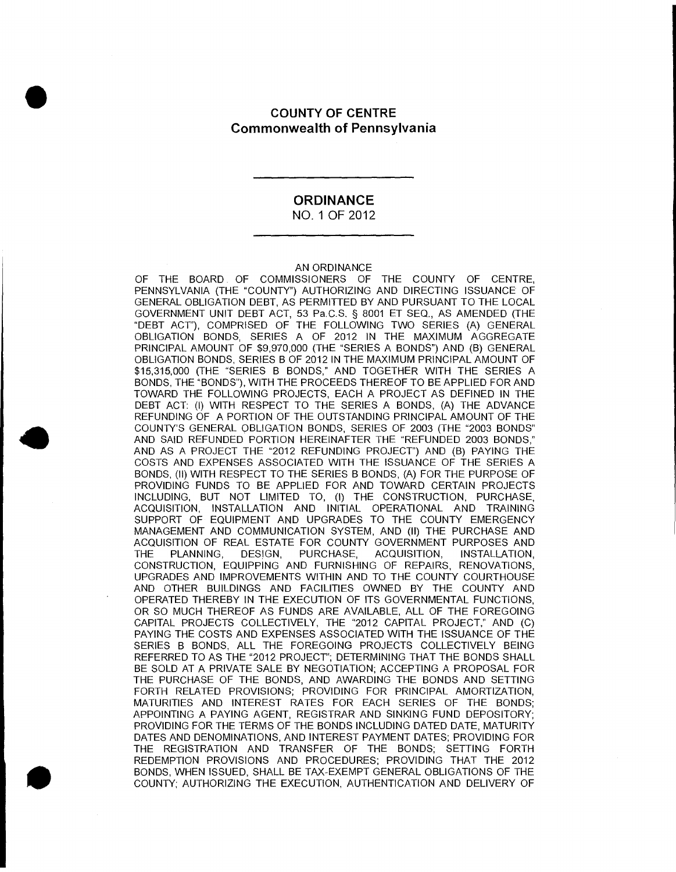# **S**<br> **COUNTY OF CENTRE Commonwealth of Pennsylvania**

#### **ORDINANCE**  NO. 1 OF 2012

#### AN ORDINANCE

OF THE BOARD OF COMMISSIONERS OF THE COUNTY OF CENTRE, PENNSYLVANIA (THE "COUNTY") AUTHORIZING AND DIRECTING ISSUANCE OF GENERAL OBLIGATION DEBT, AS PERMITTED BY AND PURSUANT TO THE LOCAL GOVERNMENT UNIT DEBT ACT, 53 Pa.C.S. § 8001 ET SEQ., AS AMENDED (THE "DEBT ACT"), COMPRISED OF THE FOLLOWING TWO SERIES (A) GENERAL OBLIGATION BONDS, SERIES A OF 2012 IN THE MAXIMUM AGGREGATE PRINCIPAL AMOUNT OF \$9,970,000 (THE "SERIES A BONDS") AND (B) GENERAL OBLIGATION BONDS, SERIES B OF 2012 IN THE MAXIMUM PRINCIPAL AMOUNT OF \$15,315,000 (THE "SERIES B BONDS," AND TOGETHER WITH THE SERIES A BONDS, THE "BONDS"), WITH THE PROCEEDS THEREOF TO BE APPLIED FOR AND TOWARD THE FOLLOWING PROJECTS, EACH A PROJECT AS DEFINED IN THE DEBT ACT: (I) WITH RESPECT TO THE SERIES A BONDS, (A) THE ADVANCE REFUNDING OF A PORTION OF THE OUTSTANDING PRINCIPAL AMOUNT OF THE **40** AND GENERAL OBLIGATION BONDS, SERIES OF 2003 (THE "2003 BONDS" AND SAID REFUNDED PORTION HEREINAFTER THE "REFUNDED 2003 BONDS," AND AS A PROJECT THE "2012 REFUNDING PROJECT") AND (B) PAYING THE COSTS AND EXPENSES ASSOCIATED WITH THE ISSUANCE OF THE SERIES A BONDS, (II) WITH RESPECT TO THE SERIES B BONDS, (A) FOR THE PURPOSE OF PROVIDING FUNDS TO BE APPLIED FOR AND TOWARD CERTAIN PROJECTS INCLUDING, BUT NOT LIMITED TO, (I) THE CONSTRUCTION, PURCHASE, ACQUISITION, INSTALLATION AND INITIAL OPERATIONAL AND TRAINING SUPPORT OF EQUIPMENT AND UPGRADES TO THE COUNTY EMERGENCY MANAGEMENT AND COMMUNICATION SYSTEM, AND (II) THE PURCHASE AND ACQUISITION OF REAL ESTATE FOR COUNTY GOVERNMENT PURPOSES AND THE PLANNING, DESIGN, PURCHASE, ACQUISITION, INSTALLATION, CONSTRUCTION, EQUIPPING AND FURNISHING OF REPAIRS, RENOVATIONS, UPGRADES AND IMPROVEMENTS WITHIN AND TO THE COUNTY COURTHOUSE AND OTHER BUILDINGS AND FACILITIES OWNED BY THE COUNTY AND OPERATED THEREBY IN THE EXECUTION OF ITS GOVERNMENTAL FUNCTIONS, OR SO MUCH THEREOF AS FUNDS ARE AVAILABLE, ALL OF THE FOREGOING CAPITAL PROJECTS COLLECTIVELY, THE "2012 CAPITAL PROJECT," AND (C) PAYING THE COSTS AND EXPENSES ASSOCIATED WITH THE ISSUANCE OF THE SERIES B BONDS, ALL THE FOREGOING PROJECTS COLLECTIVELY BEING REFERRED TO AS THE "2012 PROJECT'; DETERMINING THAT THE BONDS SHALL BE SOLD AT A PRIVATE SALE BY NEGOTIATION; ACCEPTING A PROPOSAL FOR THE PURCHASE OF THE BONDS, AND AWARDING THE BONDS AND SETTING FORTH RELATED PROVISIONS; PROVIDING FOR PRINCIPAL AMORTIZATION, MATURITIES AND INTEREST RATES FOR EACH SERIES OF THE BONDS; APPOINTING A PAYING AGENT, REGISTRAR AND SINKING FUND DEPOSITORY; PROVIDING FOR THE TERMS OF THE BONDS INCLUDING DATED DATE, MATURITY DATES AND DENOMINATIONS, AND INTEREST PAYMENT DATES; PROVIDING FOR THE REGISTRATION AND TRANSFER OF THE BONDS; SETTING FORTH . REDEMPTION PROVISIONS AND PROCEDURES; PROVIDING THAT THE 2012 BONDS, WHEN ISSUED, SHALL BE TAX-EXEMPT GENERAL OBLIGATIONS OF THE COUNTY; AUTHORIZING THE EXECUTION, AUTHENTICATION AND DELIVERY OF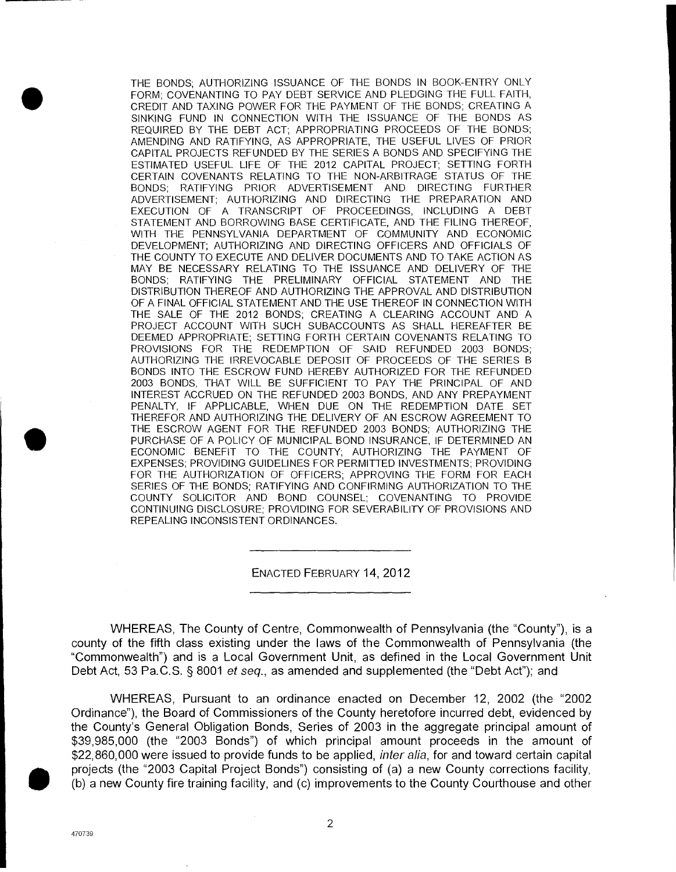**.** THE BONDS; AUTHORIZING ISSUANCE OF THE BONDS IN BOOK-ENTRY ONLY FORM; COVENANTING TO PAY DEBT SERVICE AND PLEDGING THE FULL FAITH, CREDIT AND TAXING POWER FOR THE PAYMENT OF THE BONDS; CREATING A SINKING FUND IN CONNECTION WITH THE ISSUANCE OF THE BONDS AS REQUIRED BY THE DEBT ACT; APPROPRIATING PROCEEDS OF THE BONDS; AMENDING AND RATIFYING, AS APPROPRIATE, THE USEFUL LIVES OF PRIOR CAPITAL PROJECTS REFUNDED BY THE SERIES A BONDS AND SPECIFYING THE ESTIMATED USEFUL LIFE OF THE 2012 CAPITAL PROJECT; SETTING FORTH CERTAIN COVENANTS RELATING TO THE NON-ARBITRAGE STATUS OF THE BONDS; RATIFYING PRIOR ADVERTISEMENT AND DIRECTING FURTHER ADVERTISEMENT; AUTHORIZING AND DIRECTING THE PREPARATION AND EXECUTION OF A TRANSCRIPT OF PROCEEDINGS, INCLUDING A DEBT STATEMENT AND BORROWING BASE CERTIFICATE, AND THE FILING THEREOF, WITH THE PENNSYLVANIA DEPARTMENT OF COMMUNITY AND ECONOMIC DEVELOPMENT; AUTHORIZING AND DIRECTING OFFICERS AND OFFICIALS OF THE COUNTY TO EXECUTE AND DELIVER DOCUMENTS AND TO TAKE ACTION AS MAY BE NECESSARY RELATING TO THE ISSUANCE AND DELIVERY OF THE BONDS; RATIFYING THE PRELIMINARY OFFICIAL STATEMENT AND THE DISTRIBUTION THEREOF AND AUTHORIZING THE APPROVAL AND DISTRIBUTION OF A FINAL OFFICIAL STATEMENT AND THE USE THEREOF IN CONNECTION WITH THE SALE OF THE 2012 BONDS; CREATING A CLEARING ACCOUNT AND A PROJECT ACCOUNT WITH SUCH SUBACCOUNTS AS SHALL HEREAFTER BE DEEMED APPROPRIATE; SETTING FORTH CERTAIN COVENANTS RELATING TO PROVISIONS FOR THE REDEMPTION OF SAID REFUNDED 2003 BONDS; AUTHORIZING THE IRREVOCABLE DEPOSIT OF PROCEEDS OF THE SERIES B BONDS INTO THE ESCROW FUND HEREBY AUTHORIZED FOR THE REFUNDED 2003 BONDS, THAT WILL BE SUFFICIENT TO PAY THE PRINCIPAL OF AND INTEREST ACCRUED ON THE REFUNDED 2003 BONDS, AND ANY PREPAYMENT PENALTY, IF APPLICABLE, WHEN DUE ON THE REDEMPTION DATE SET THEREFOR AND AUTHORIZING THE DELIVERY OF AN ESCROW AGREEMENT TO • THE ESCROW AGENT FOR THE REFUNDED 2003 BONDS; AUTHORIZING THE PURCHASE OF A POLICY OF MUNICIPAL BOND INSURANCE, IF DETERMINED AN ECONOMIC BENEFIT TO THE COUNTY; AUTHORIZING THE PAYMENT OF EXPENSES; PROVIDING GUIDELINES FOR PERMITTED INVESTMENTS; PROVIDING FOR THE AUTHORIZATION OF OFFICERS; APPROVING THE FORM FOR EACH SERIES OF THE BONDS; RATIFYING AND CONFIRMING AUTHORIZATION TO THE COUNTY SOLICITOR AND BOND COUNSEL; COVENANTING TO PROVIDE CONTINUING DISCLOSURE; PROVIDING FOR SEVERABILITY OF PROVISIONS AND REPEALING INCONSISTENT ORDINANCES.

#### ENACTED FEBRUARY 14, 2012

WHEREAS, The County of Centre, Commonwealth of Pennsylvania (the "County"), is a county of the fifth class existing under the laws of the Commonwealth of Pennsylvania (the "Commonwealth") and is a Local Government Unit, as defined in the Local Government Unit Debt Act, 53 Pa.C.S. § 8001 et seq., as amended and supplemented (the "Debt Act"); and

WHEREAS, Pursuant to an ordinance enacted on December 12, 2002 (the "2002 Ordinance"), the Board of Commissioners of the County heretofore incurred debt, evidenced by the County's General Obligation Bonds, Series of 2003 in the aggregate principal amount of \$39,985,000 (the "2003 Bonds") of which principal amount proceeds in the amount of WHEI<br>
county of the<br>
"Commonwe<br>
Debt Act, 53<br>
WHEI<br>
Ordinance"),<br>
the County's<br>
\$39,985,000<br>
\$22,860,000<br>
projects (the<br>
(b) a new Co \$22,860,000 were issued to provide funds to be applied, *inter alia*, for and toward certain capital projects (the "2003 Capital Project Bonds") consisting of (a) a new County corrections facility, (b) a new County fire training facility, and (c) improvements to the County Courthouse and other

 $\overline{2}$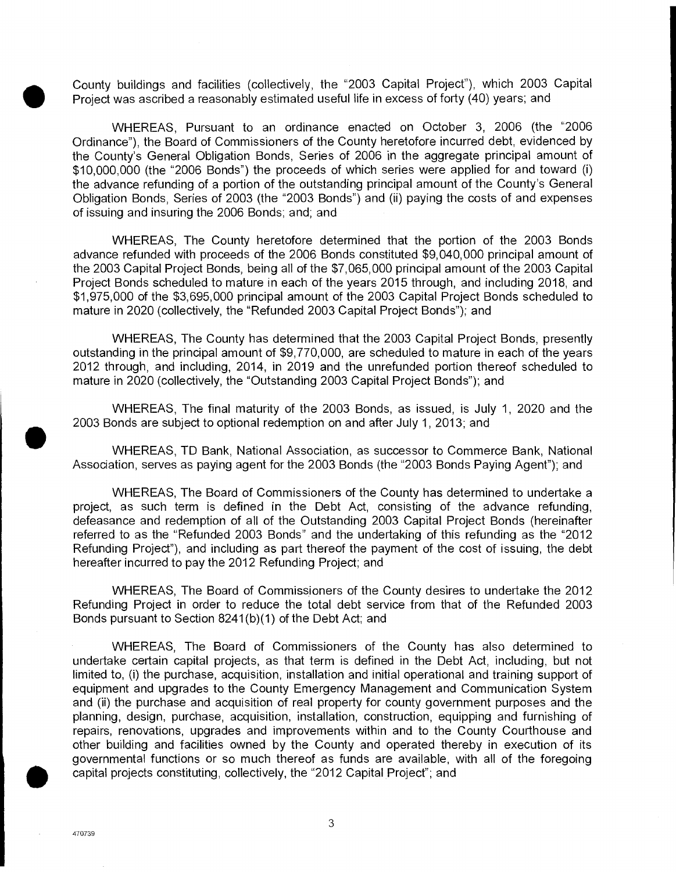• County buildings and facilities (collectively, the "2003 Capital Project"), which 2003 Capital Project was ascribed a reasonably estimated useful life in excess of forty (40) years; and

WHEREAS, Pursuant to an ordinance enacted on October 3, 2006 (the "2006 Ordinance"), the Board of Commissioners of the County heretofore incurred debt, evidenced by the County's General Obligation Bonds, Series of 2006 in the aggregate principal amount of \$10,000,000 (the "2006 Bonds") the proceeds of which series were applied for and toward (i) the advance refunding of a portion of the outstanding principal amount of the County's General Obligation Bonds, Series of 2003 (the "2003 Bonds") and (ii) paying the costs of and expenses of issuing and insuring the 2006 Bonds; and; and

WHEREAS, The County heretofore determined that the portion of the 2003 Bonds advance refunded with proceeds of the 2006 Bonds constituted \$9,040,000 principal amount of the 2003 Capital Project Bonds, being all of the \$7,065,000 principal amount of the 2003 Capital Project Bonds scheduled to mature in each of the years 2015 through, and including 2018, and \$1,975,000 of the \$3,695,000 principal amount of the 2003 Capital Project Bonds scheduled to mature in 2020 (collectively, the "Refunded 2003 Capital Project Bonds"); and

WHEREAS, The County has determined that the 2003 Capital Project Bonds, presently outstanding in the principal amount of \$9,770,000, are scheduled to mature in each of the years 2012 through, and including, 2014, in 2019 and the unrefunded portion thereof scheduled to mature in 2020 (collectively, the "Outstanding 2003 Capital Project Bonds"); and

WHEREAS, The final maturity of the 2003 Bonds, as issued, is July 1, 2020 and the • 2003 Bonds are subject to optional redemption on and after July 1, 2013; and

WHEREAS, TD Bank, National Association, as successor to Commerce Bank, National Association, serves as paying agent for the 2003 Bonds (the "2003 Bonds Paying Agent"); and

WHEREAS, The Board of Commissioners of the County has determined to undertake a project, as such term is defined in the Debt Act, consisting of the advance refunding, defeasance and redemption of all of the Outstanding 2003 Capital Project Bonds (hereinafter referred to as the "Refunded 2003 Bonds" and the undertaking of this refunding as the "2012 Refunding Project"), and including as part thereof the payment of the cost of issuing, the debt hereafter incurred to pay the 2012 Refunding Project; and

WHEREAS, The Board of Commissioners of the County desires to undertake the 2012 Refunding Project in order to reduce the total debt service from that of the Refunded 2003 Bonds pursuant to Section 8241 (b)(1) of the Debt Act; and

WHEREAS, The Board of Commissioners of the County has also determined to undertake certain capital projects, as that term is defined in the Debt Act, including, but not limited to, (i) the purchase, acquisition, installation and initial operational and training support of equipment and upgrades to the County Emergency Management and Communication System and (ii) the purchase and acquisition of real property for county government purposes and the planning, design, purchase, acquisition, installation, construction, equipping and furnishing of repairs, renovations, upgrades and improvements within and to the County Courthouse and other building and facilities owned by the County and operated thereby in execution of its governmental functions or so much thereof as funds are available, with all of the foregoing capital projects constituting, collectively, the "2012 Capital Project"; and

3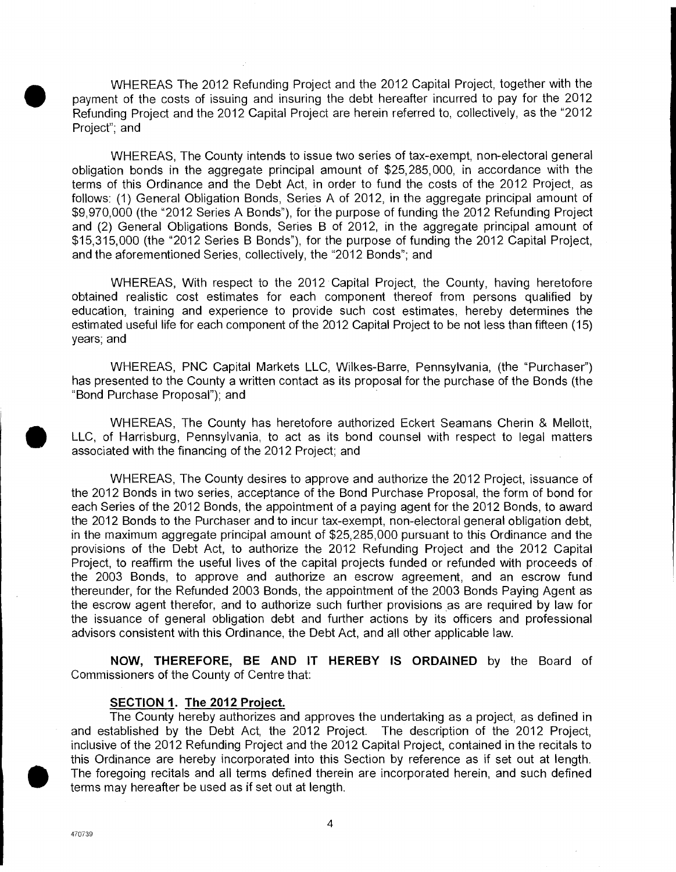• WHEREAS The 2012 Refunding Project and the 2012 Capital Project, together with the payment of the costs of issuing and insuring the debt hereafter incurred to pay for the 2012 Refunding Project and the 2012 Capital Project are herein referred to, collectively, as the "2012 Project"; and

WHEREAS, The County intends to issue two series of tax-exempt, non-electoral general obligation bonds in the aggregate principal amount of \$25,285,000, in accordance with the terms of this Ordinance and the Debt Act, in order to fund the costs of the 2012 Project, as follows: (1) General Obligation Bonds, Series A of 2012, in the aggregate principal amount of \$9,970,000 (the "2012 Series A Bonds"), for the purpose of funding the 2012 Refunding Project and (2) General Obligations Bonds, Series B of 2012, in the aggregate principal amount of \$15,315,000 (the "2012 Series B Bonds"), for the purpose of funding the 2012 Capital Project, and the aforementioned Series, collectively, the "2012 Bonds"; and

WHEREAS, With respect to the 2012 Capital Project, the County, having heretofore obtained realistic cost estimates for each component thereof from persons qualified by education, training and experience to provide such cost estimates, hereby determines the estimated useful life for each component of the 2012 Capital Project to be not less than fifteen (15) years; and

WHEREAS, PNC Capital Markets LLC, Wilkes-Barre, Pennsylvania, (the "Purchaser") has presented to the County a written contact as its proposal for the purchase of the Bonds (the "Bond Purchase Proposal"); and

WHEREAS, The County has heretofore authorized Eckert Seamans Cherin & Mellott, LLC, of Harrisburg, Pennsylvania, to act as its bond counsel with respect to legal matters associated with the financing of the 2012 Project; and

WHEREAS, The County desires to approve and authorize the 2012 Project, issuance of the 2012 Bonds in two series, acceptance of the Bond Purchase Proposal, the form of bond for each Series of the 2012 Bonds, the appointment of a paying agent for the 2012 Bonds, to award the 2012 Bonds to the Purchaser and to incur tax-exempt, non-electoral general obligation debt, in the maximum aggregate principal amount of \$25,285,000 pursuant to this Ordinance and the provisions of the Debt Act, to authorize the 2012 Refunding Project and the 2012 Capital Project, to reaffirm the useful lives of the capital projects funded or refunded with proceeds of the 2003 Bonds, to approve and authorize an escrow agreement, and an escrow fund thereunder, for the Refunded 2003 Bonds, the appointment of the 2003 Bonds Paying Agent as the escrow agent therefor, and to authorize such further provisions as are required by law for the issuance of general obligation debt and further actions by its officers and professional advisors consistent with this Ordinance, the Debt Act, and all other applicable law.

**NOW, THEREFORE, BE AND IT HEREBY IS ORDAINED** by the Board of Commissioners of the County of Centre that:

#### **SECTION 1. The 2012 Project.**

The County hereby authorizes and approves the undertaking as a project, as defined in and established by the Debt Act, the 2012 Project. The description of the 2012 Project, inclusive of the 2012 Refunding Project and the 2012 Capital Project, contained in the recitals to this Ordinance are hereby incorporated into this Section by reference as if set out at length. The foregoing recitals and all terms defined therein are incorporated herein, and such defined terms may hereafter be used as if set out at length.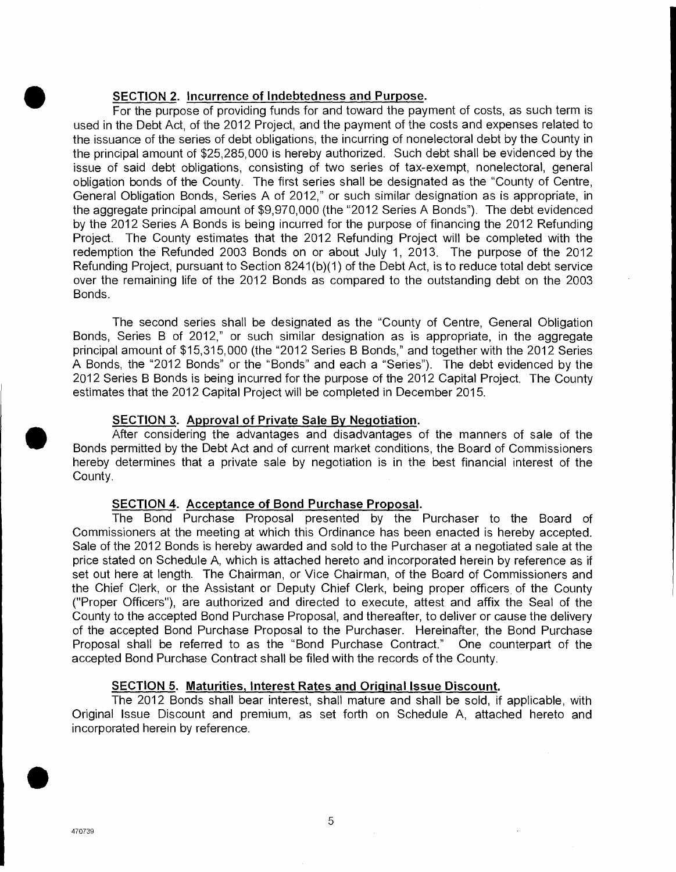# **SECTION 2. Incurrence of Indebtedness and Purpose.**

For the purpose of providing funds for and toward the payment of costs, as such term is used in the Debt Act, of the 2012 Project, and the payment of the costs and expenses related to the issuance of the series of debt obligations, the incurring of nonelectoral debt by the County in the principal amount of \$25,285,000 is hereby authorized. Such debt shall be evidenced by the issue of said debt obligations, consisting of two series of tax-exempt, nonelectoral, general obligation bonds of the County. The first series shall be designated as the "County of Centre, General Obligation Bonds, Series A of 2012," or such similar designation as is appropriate, in the aggregate principal amount of \$9,970,000 (the "2012 Series A Bonds"). The debt evidenced by the 2012 Series A Bonds is being incurred for the purpose of financing the 2012 Refunding Project. The County estimates that the 2012 Refunding Project will be completed with the redemption the Refunded 2003 Bonds on or about July 1, 2013. The purpose of the 2012 Refunding Project, pursuant to Section 8241(b)(1) of the Debt Act, is to reduce total debt service over the remaining life of the 2012 Bonds as compared to the outstanding debt on the 2003 Bonds.

The second series shall be designated as the "County of Centre, General Obligation Bonds, Series B of 2012," or such similar designation as is appropriate, in the aggregate principal amount of \$15,315,000 (the "2012 Series B Bonds," and together with the 2012 Series A Bonds, the "2012 Bonds" or the "Bonds" and each a "Series"). The debt evidenced by the 2012 Series B Bonds is being incurred for the purpose of the 2012 Capital Project. The County estimates that the 2012 Capital Project will be completed in December 2015. Examing<br>
over the rem<br>
Bonds.<br>
The<br>
Bonds, Serie<br>
principal ame<br>
A Bonds, the<br>
2012 Series<br>
estimates tha<br>
SECT<br>
After<br>
Bonds permi<br>
hereby deter<br>
County

#### **SECTION 3. Approval of Private Sale By Negotiation.**

After considering the advantages and disadvantages of the manners of sale of the Bonds permitted by the Debt Act and of current market conditions, the Board of Commissioners hereby determines that a private sale by negotiation is in the best financial interest of the County.

#### **SECTION 4. Acceptance of Bond Purchase Proposal.**

The Bond Purchase Proposal presented by the Purchaser to the Board of Commissioners at the meeting at which this Ordinance has been enacted is hereby accepted. Sale of the 2012 Bonds is hereby awarded and sold to the Purchaser at a negotiated sale at the price stated on Schedule A, which is attached hereto and incorporated herein by reference as if set out here at length. The Chairman, or Vice Chairman, of the Board of Commissioners and the Chief Clerk, or the Assistant or Deputy Chief Clerk, being proper officers of the County ("Proper Officers"), are authorized and directed to execute, attest and affix the Seal of the County to the accepted Bond Purchase Proposal, and thereafter, to deliver or cause the delivery of the accepted Bond Purchase Proposal to the Purchaser. Hereinafter, the Bond Purchase Proposal shall be referred to as the "Bond Purchase Contract." One counterpart of the accepted Bond Purchase Contract shall be filed with the records of the County.

#### **SECTION 5. Maturities, Interest Rates and Original Issue Discount.**

The 2012 Bonds shall bear interest, shall mature and shall be sold, if applicable, with Original Issue Discount and premium, as set forth on Schedule A, attached hereto and incorporated herein by reference.

**S**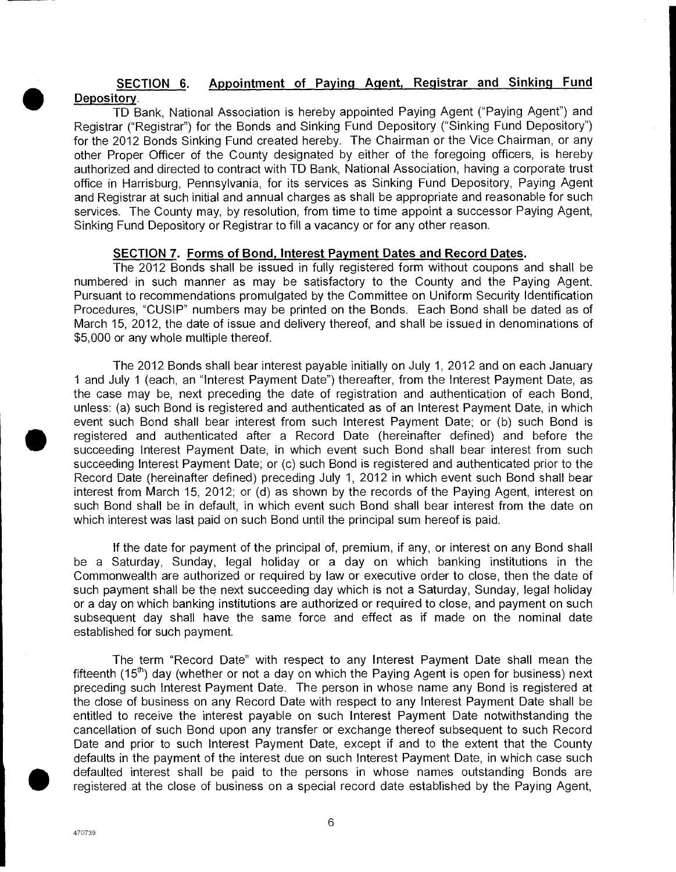#### **SECTION 6. Appointment of Paying Agent, Registrar and Sinking Fund Depository.**

TD Bank, National Association is hereby appointed Paying Agent ("Paying Agent") and Registrar ("Registrar") for the Bonds and Sinking Fund Depository ("Sinking Fund Depository") for the 2012 Bonds Sinking Fund created hereby. The Chairman or the Vice Chairman, or any other Proper Officer of the County designated by either of the foregoing officers, is hereby authorized and directed to contract with TD Bank, National Association, having a corporate trust office in Harrisburg, Pennsylvania, for its services as Sinking Fund Depository, Paying Agent and Registrar at such initial and annual charges as shall be appropriate and reasonable for such services. The County may, by resolution, from time to time appoint a successor Paying Agent, Sinking Fund Depository or Registrar to fill a vacancy or for any other reason.

#### **SECTION 7. Forms of Bond, Interest Payment Dates and Record Dates.**

The 2012 Bonds shall be issued in fully registered form without coupons and shall be numbered in such manner as may be satisfactory to the County and the Paying Agent. Pursuant to recommendations promulgated by the Committee on Uniform Security Identification Procedures, "CUSIP" numbers may be printed on the Bonds. Each Bond shall be dated as of March 15, 2012, the date of issue and delivery thereof, and shall be issued in denominations of \$5,000 or any whole multiple thereof.

The 2012 Bonds shall bear interest payable initially on July 1, 2012 and on each January 1 and July 1 (each, an "Interest Payment Date") thereafter, from the Interest Payment Date, as the case may be, next preceding the date of registration and authentication of each Bond, unless: (a) such Bond is registered and authenticated as of an Interest Payment Date, in which event such Bond shall bear interest from such Interest Payment Date; or (b) such Bond is registered and authenticated after a Record Date (hereinafter defined) and before the succeeding Interest Payment Date, in which event such Bond shall bear interest from such succeeding Interest Payment Date; or (c) such Bond is registered and authenticated prior to the Record Date (hereinafter defined) preceding July 1, 2012 in which event such Bond shall bear interest from March 15, 2012; or (d) as shown by the records of the Paying Agent, interest on such Bond shall be in default, in which event such Bond shall bear interest from the date on which interest was last paid on such Bond until the principal sum hereof is paid.

If the date for payment of the principal of, premium, if any, or interest on any Bond shall be a Saturday, Sunday, legal holiday or a day on which banking institutions in the Commonwealth are authorized or required by law or executive order to close, then the date of such payment shall be the next succeeding day which is not a Saturday, Sunday, legal holiday or a day on which banking institutions are authorized or required to close, and payment on such subsequent day shall have the same force and effect as if made on the nominal date established for such payment.

The term "Record Date" with respect to any Interest Payment Date shall mean the fifteenth (15<sup>th</sup>) day (whether or not a day on which the Paying Agent is open for business) next preceding such Interest Payment Date. The person in whose name any Bond is registered at the close of business on any Record Date with respect to any Interest Payment Date shall be entitled to receive the interest payable on such Interest Payment Date notwithstanding the cancellation of such Bond upon any transfer or exchange thereof subsequent to such Record Date and prior to such Interest Payment Date, except if and to the extent that the County defaults in the payment of the interest due on such Interest Payment Date, in which case such defaulted interest shall be paid to the persons in whose names outstanding Bonds are registered at the close of business on a special record date established by the Paying Agent,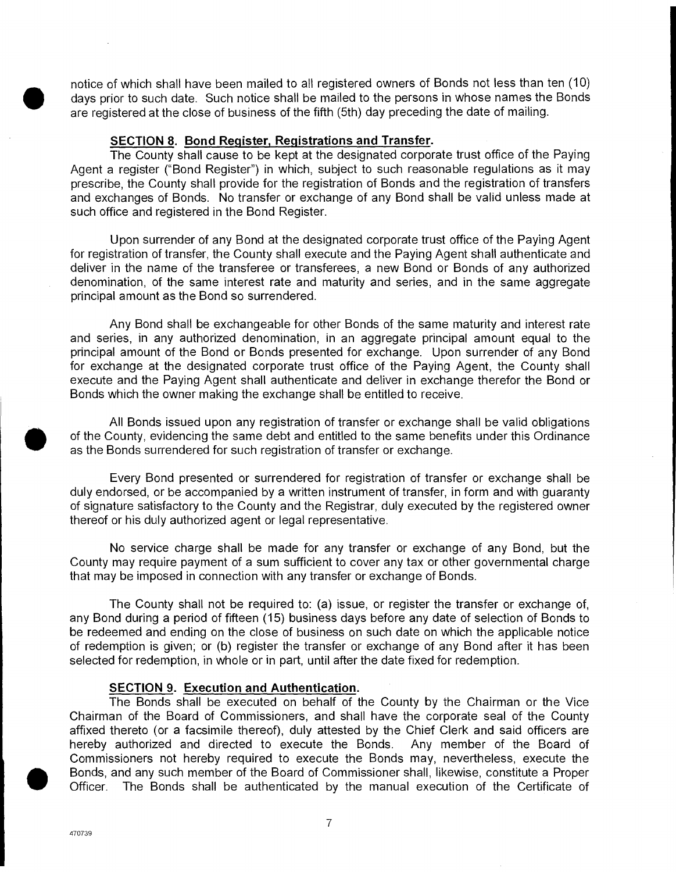notice of which shall have been mailed to all registered owners of Bonds not less than ten (10) days prior to such date. Such notice shall be mailed to the persons in whose names the Bonds are registered at the close of business of the fifth (5th) day preceding the date of mailing.

## **SECTION 8. Bond Register, Registrations and Transfer.**

The County shall cause to be kept at the designated corporate trust office of the Paying Agent a register ("Bond Register") in which, subject to such reasonable regulations as it may prescribe, the County shall provide for the registration of Bonds and the registration of transfers and exchanges of Bonds. No transfer or exchange of any Bond shall be valid unless made at such office and registered in the Bond Register.

Upon surrender of any Bond at the designated corporate trust office of the Paying Agent for registration of transfer, the County shall execute and the Paying Agent shall authenticate and deliver in the name of the transferee or transferees, a new Bond or Bonds of any authorized denomination, of the same interest rate and maturity and series, and in the same aggregate principal amount as the Bond so surrendered.

Any Bond shall be exchangeable for other Bonds of the same maturity and interest rate and series, in any authorized denomination, in an aggregate principal amount equal to the principal amount of the Bond or Bonds presented for exchange. Upon surrender of any Bond for exchange at the designated corporate trust office of the Paying Agent, the County shall execute and the Paying Agent shall authenticate and deliver in exchange therefor the Bond or Bonds which the owner making the exchange shall be entitled to receive.

All Bonds issued upon any registration of transfer or exchange shall be valid obligations of the County, evidencing the same debt and entitled to the same benefits under this Ordinance as the Bonds surrendered for such registration of transfer or exchange.

Every Bond presented or surrendered for registration of transfer or exchange shall be duly endorsed, or be accompanied by a written instrument of transfer, in form and with guaranty of signature satisfactory to the County and the Registrar, duly executed by the registered owner thereof or his duly authorized agent or legal representative.

No service charge shall be made for any transfer or exchange of any Bond, but the County may require payment of a sum sufficient to cover any tax or other governmental charge that may be imposed in connection with any transfer or exchange of Bonds.

The County shall not be required to: (a) issue, or register the transfer or exchange of, any Bond during a period of fifteen (15) business days before any date of selection of Bonds to be redeemed and ending on the close of business on such date on which the applicable notice of redemption is given; or (b) register the transfer or exchange of any Bond after it has been selected for redemption, in whole or in part, until after the date fixed for redemption.

#### **SECTION 9. Execution and Authentication.**

The Bonds shall be executed on behalf of the County by the Chairman or the Vice Chairman of the Board of Commissioners, and shall have the corporate seal of the County affixed thereto (or a facsimile thereof), duly attested by the Chief Clerk and said officers are hereby authorized and directed to execute the Bonds. Any member of the Board of any Bond du<br>
be redeemed<br>
of redemptio<br>
selected for r<br>
<u>SEC1</u><br>
The I<br>
Chairman of<br>
affixed there<br>
hereby auth<br>
Commissione<br>
Bonds, and a<br>
Officer. The Commissioners not hereby required to execute the Bonds may, nevertheless, execute the Bonds, and any such member of the Board of Commissioner shall, likewise, constitute a Proper Officer. The Bonds shall be authenticated by the manual execution of the Certificate of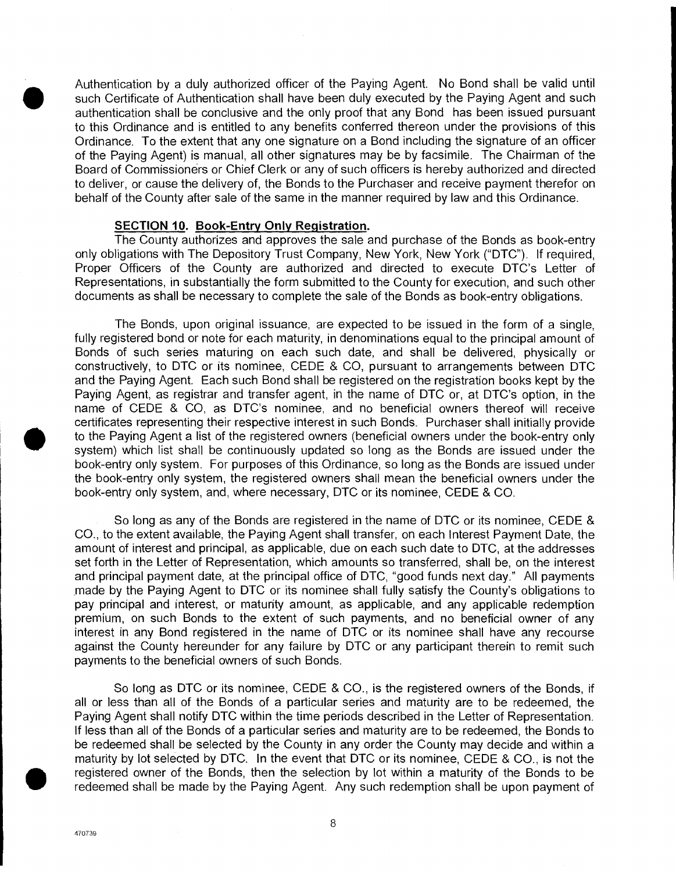Authentication by a duly authorized officer of the Paying Agent. No Bond shall be valid until such Certificate of Authentication shall have been duly executed by the Paying Agent and such authentication shall be conclusive and the only proof that any Bond has been issued pursuant to this Ordinance and is entitled to any benefits conferred thereon under the provisions of this Ordinance. To the extent that any one signature on a Bond including the signature of an officer of the Paying Agent) is manual, all other signatures may be by facsimile. The Chairman of the Board of Commissioners or Chief Clerk or any of such officers is hereby authorized and directed to deliver, or cause the delivery of, the Bonds to the Purchaser and receive payment therefor on behalf of the County after sale of the same in the manner required by law and this Ordinance.

#### **SECTION 10. Book-Entry Only Registration.**

The County authorizes and approves the sale and purchase of the Bonds as book-entry only obligations with The Depository Trust Company, New York, New York ("DTC"). If required, Proper Officers of the County are authorized and directed to execute DTC's Letter of Representations, in substantially the form submitted to the County for execution, and such other documents as shall be necessary to complete the sale of the Bonds as book-entry obligations.

The Bonds, upon original issuance, are expected to be issued in the form of a single, fully registered bond or note for each maturity, in denominations equal to the principal amount of Bonds of such series maturing on each such date, and shall be delivered, physically or constructively, to DTC or its nominee, CEDE & CO, pursuant to arrangements between DTC and the Paying Agent. Each such Bond shall be registered on the registration books kept by the Paying Agent, as registrar and transfer agent, in the name of DTC or, at DTC's option, in the name of CEDE & CO, as DTC's nominee, and no beneficial owners thereof will receive certificates representing their respective interest in such Bonds. Purchaser shall initially provide to the Paying Agent a list of the registered owners (beneficial owners under the book-entry only system) which list shall be continuously updated so long as the Bonds are issued under the book-entry only system. For purposes of this Ordinance, so long as the Bonds are issued under the book-entry only system, the registered owners shall mean the beneficial owners under the book-entry only system, and, where necessary, DTC or its nominee, CEDE & CO.

So long as any of the Bonds are registered in the name of DTC or its nominee, CEDE & CO., to the extent available, the Paying Agent shall transfer, on each Interest Payment Date, the amount of interest and principal, as applicable, due on each such date to DTC, at the addresses set forth in the Letter of Representation, which amounts so transferred, shall be, on the interest and principal payment date, at the principal office of DTC, "good funds next day." All payments made by the Paying Agent to DTC or its nominee shall fully satisfy the County's obligations to pay principal and interest, or maturity amount, as applicable, and any applicable redemption premium, on such Bonds to the extent of such payments, and no beneficial owner of any interest in any Bond registered in the name of DTC or its nominee shall have any recourse against the County hereunder for any failure by DTC or any participant therein to remit such payments to the beneficial owners of such Bonds.

So long as DTC or its nominee, CEDE & CO., is the registered owners of the Bonds, if all or less than all of the Bonds of a particular series and maturity are to be redeemed, the Paying Agent shall notify DTC within the time periods described in the Letter of Representation. If less than all of the Bonds of a particular series and maturity are to be redeemed, the Bonds to be redeemed shall be selected by the County in any order the County may decide and within a premium, c<br>
interest in a<br>
against the<br>
payments to<br>
So I<br>
all or less 1<br>
Paying Age<br>
If less than<br>
be redeemed interesting the maturity by<br>
registered c<br>
redeemed s maturity by lot selected by DTC. In the event that DTC or its nominee, CEDE & CO., is not the registered owner of the Bonds, then the selection by lot within a maturity of the Bonds to be redeemed shall be made by the Paying Agent. Any such redemption shall be upon payment of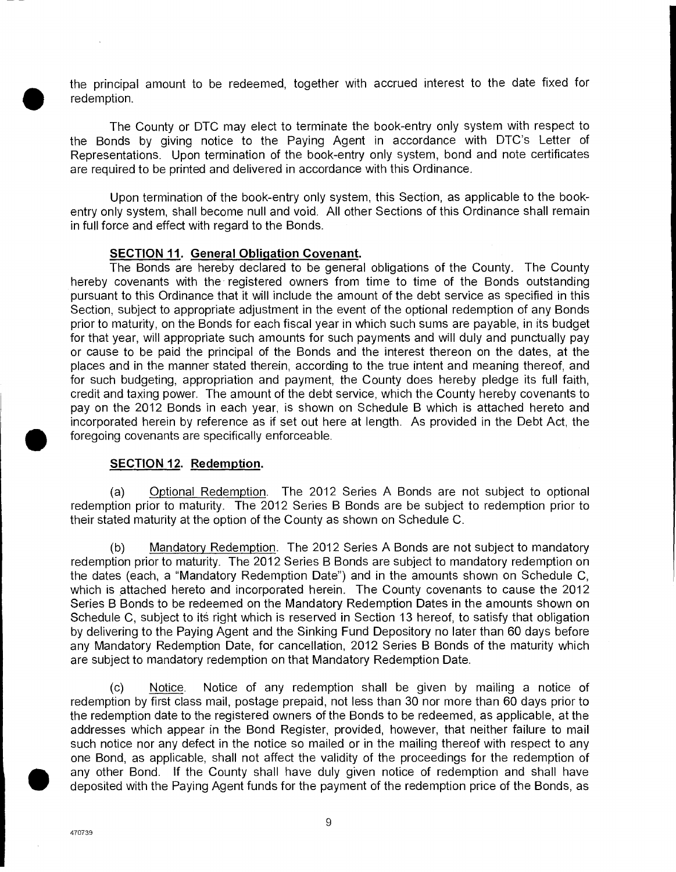the principal amount to be redeemed, together with accrued interest to the date fixed for redemption.

The County or DTC may elect to terminate the book-entry only system with respect to the Bonds by giving notice to the Paying Agent in accordance with DTC's Letter of Representations. Upon termination of the book-entry only system, bond and note certificates are required to be printed and delivered in accordance with this Ordinance.

Upon termination of the book-entry only system, this Section, as applicable to the bookentry only system, shall become null and void. All other Sections of this Ordinance shall remain in full force and effect with regard to the Bonds.

#### **SECTION II. General Obligation Covenant.**

The Bonds are hereby declared to be general obligations of the County. The County hereby covenants with the-registered owners from time to time of the Bonds outstanding pursuant to this Ordinance that it will include the amount of the debt service as specified in this Section, subject to appropriate adjustment in the event of the optional redemption of any Bonds prior to maturity, on the Bonds for each fiscal year in which such sums are payable, in its budget for that year, will appropriate such amounts for such payments and will duly and punctually pay or cause to be paid the principal of the Bonds and the interest thereon on the dates, at the places and in the manner stated therein, according to the true intent and meaning thereof, and for such budgeting, appropriation and payment, the County does hereby pledge its full faith, credit and taxing power. The amount of the debt service, which the County hereby covenants to pay on the 2012 Bonds in each year, is shown on Schedule B which is attached hereto and incorporated herein by reference as if set out here at length. As provided in the Debt Act, the foregoing covenants are specifically enforceable.

#### **SECTION 12. Redemption.**

(a) Optional Redemption. The 2012 Series A Bonds are not subject to optional redemption prior to maturity. The 2012 Series B Bonds are be subject to redemption prior to their stated maturity at the option of the County as shown on Schedule C.

(b) Mandatory Redemption. The 2012 Series A Bonds are not subject to mandatory redemption prior to maturity. The 2012 Series B Bonds are subject to mandatory redemption on the dates (each, a "Mandatory Redemption Date") and in the amounts shown on Schedule C, which is attached hereto and incorporated herein. The County covenants to cause the 2012 Series B Bonds to be redeemed on the Mandatory Redemption Dates in the amounts shown on Schedule C, subject to its right which is reserved in Section 13 hereof, to satisfy that obligation by delivering to the Paying Agent and the Sinking Fund Depository no later than 60 days before any Mandatory Redemption Date, for cancellation, 2012 Series B Bonds of the maturity which are subject to mandatory redemption on that Mandatory Redemption Date.

(c) Notice. Notice of any redemption shall be given by mailing a notice of redemption by first class mail, postage prepaid, not less than 30 nor more than 60 days prior to the redemption date to the registered owners of the Bonds to be redeemed, as applicable, at the addresses which appear in the Bond Register, provided, however, that neither failure to mail such notice nor any defect in the notice so mailed or in the mailing thereof with respect to any one Bond, as applicable, shall not affect the validity of the proceedings for the redemption of any other Bond. If the County shall have duly given notice of redemption and shall have deposited with the Paying Agent funds for the payment of the redemption price of the Bonds, as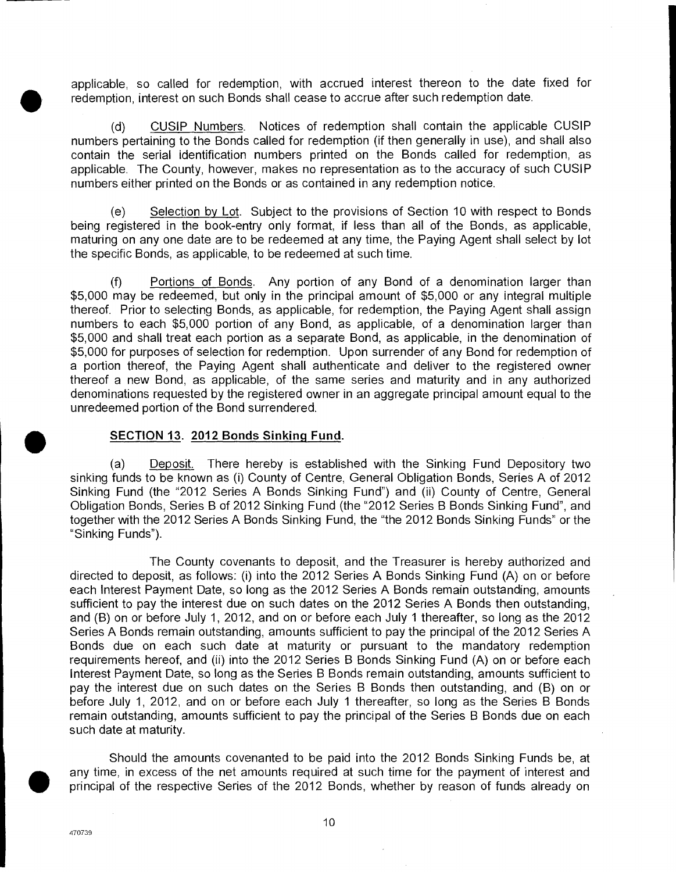applicable, so called for redemption, with accrued interest thereon to the date fixed for redemption, interest on such Bonds shall cease to accrue after such redemption date.

(d) CUSIP Numbers. Notices of redemption shall contain the applicable CUSIP numbers pertaining to the Bonds called for redemption (if then generally in use), and shall also contain the serial identification numbers printed on the Bonds called for redemption, as applicable. The County, however, makes no representation as to the accuracy of such CUSIP numbers either printed on the Bonds or as contained in any redemption notice.

(e) Selection by Lot. Subject to the provisions of Section 10 with respect to Bonds being registered in the book-entry only format, if less than all of the Bonds, as applicable, maturing on any one date are to be redeemed at any time, the Paying Agent shall select by lot the specific Bonds, as applicable, to be redeemed at such time.

(f) Portions of Bonds. Any portion of any Bond of a denomination larger than \$5,000 may be redeemed, but only in the principal amount of \$5,000 or any integral multiple thereof. Prior to selecting Bonds, as applicable, for redemption, the Paying Agent shall assign numbers to each \$5,000 portion of any Bond, as applicable, of a denomination larger than \$5,000 and shall treat each portion as a separate Bond, as applicable, in the denomination of \$5,000 for purposes of selection for redemption. Upon surrender of any Bond for redemption of a portion thereof, the Paying Agent shall authenticate and deliver to the registered owner thereof a new Bond, as applicable, of the same series and maturity and in any authorized denominations requested by the registered owner in an aggregate principal amount equal to the unredeemed portion of the Bond surrendered.

# **<u>SECTION 13. 2012 Bonds Sinking Fund.</u><br>(a) Deposit. There hereby is establis</u>**

Deposit. There hereby is established with the Sinking Fund Depository two sinking funds to be known as (i) County of Centre, General Obligation Bonds, Series A of 2012 Sinking Fund (the "2012 Series A Bonds Sinking Fund") and (ii) County of Centre, General Obligation Bonds, Series B of 2012 Sinking Fund (the "2012 Series B Bonds Sinking Fund", and together with the 2012 Series A Bonds Sinking Fund, the "the 2012 Bonds Sinking Funds" or the "Sinking Funds").

The County covenants to deposit, and the Treasurer is hereby authorized and directed to deposit, as follows: (i) into the 2012 Series A Bonds Sinking Fund (A) on or before each Interest Payment Date, so long as the 2012 Series A Bonds remain outstanding, amounts sufficient to pay the interest due on such dates on the 2012 Series A Bonds then outstanding, and (B) on or before July 1, 2012, and on or before each July 1 thereafter, so long as the 2012 Series A Bonds remain outstanding, amounts sufficient to pay the principal of the 2012 Series A Bonds due on each such date at maturity or pursuant to the mandatory redemption requirements hereof, and (ii) into the 2012 Series B Bonds Sinking Fund (A) on or before each Interest Payment Date, so long as the Series B Bonds remain outstanding, amounts sufficient to pay the interest due on such dates on the Series B Bonds then outstanding, and (B) on or before July 1, 2012, and on or before each July 1 thereafter, so long as the Series B Bonds remain outstanding, amounts sufficient to pay the principal of the Series B Bonds due on each such date at maturity.

Should the amounts covenanted to be paid into the 2012 Bonds Sinking Funds be, at any time, in excess of the net amounts required at such time for the payment of interest and principal of the respective Series of the 2012 Bonds, whether by reason of funds already on

470739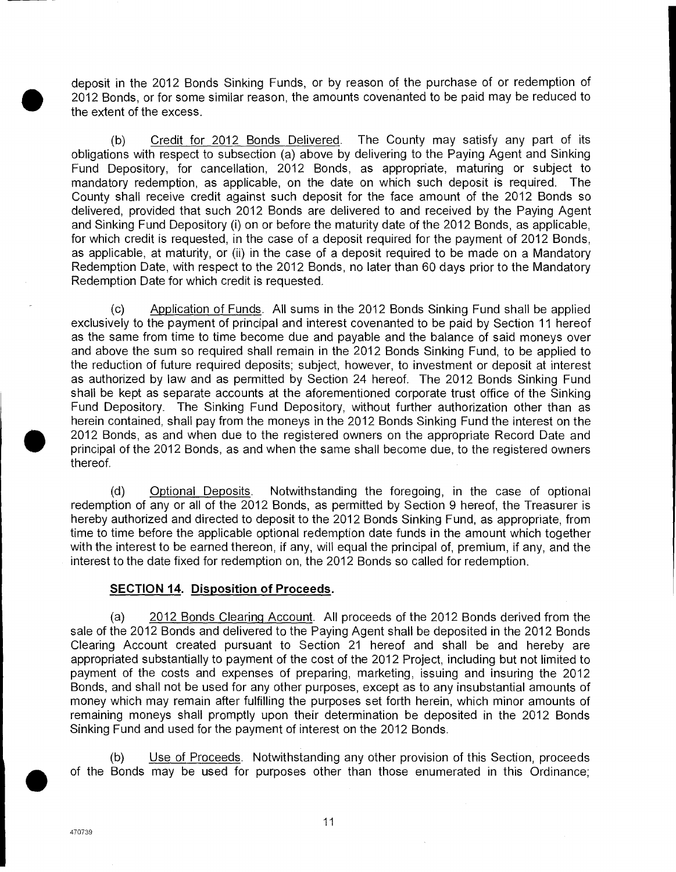deposit in the 2012 Bonds Sinking Funds, or by reason of the purchase of or redemption of 2012 Bonds, or for some similar reason, the amounts covenanted to be paid may be reduced to the extent of the excess.

(b) Credit for 2012 Bonds Delivered. The County may satisfy any part of its obligations with respect to subsection (a) above by delivering to the Paying Agent and Sinking Fund Depository, for cancellation, 2012 Bonds, as appropriate, maturing or subject to mandatory redemption, as applicable, on the date on which such deposit is required. The County shall receive credit against such deposit for the face amount of the 2012 Bonds so delivered, provided that such 2012 Bonds are delivered to and received by the Paying Agent and Sinking Fund Depository (i) on or before the maturity date of the 2012 Bonds, as applicable, for which credit is requested, in the case of a deposit required for the payment of 2012 Bonds, as applicable, at maturity, or (ii) in the case of a deposit required to be made on a Mandatory Redemption Date, with respect to the 2012 Bonds, no later than 60 days prior to the Mandatory Redemption Date for which credit is requested.

(c) Application of Funds. All sums in the 2012 Bonds Sinking Fund shall be applied exclusively to the payment of principal and interest covenanted to be paid by Section 11 hereof as the same from time to time become due and payable and the balance of said moneys over and above the sum so required shall remain in the 2012 Bonds Sinking Fund, to be applied to the reduction of future required deposits; subject, however, to investment or deposit at interest as authorized by law and as permitted by Section 24 hereof. The 2012 Bonds Sinking Fund shall be kept as separate accounts at the aforementioned corporate trust office of the Sinking Fund Depository. The Sinking Fund Depository, without further authorization other than as Redemption<br>
(c)<br>
exclusively t<br>
as the same<br>
and above t<br>
the reductio<br>
as authorize<br>
shall be kep<br>
Fund Depos<br>
herein conta<br>
2012 Bonds<br>
principal of t<br>
thereof. herein contained, shall pay from the moneys in the 2012 Bonds Sinking Fund the interest on the 2012 Bonds, as and when due to the registered owners on the appropriate Record Date and principal of the 2012 Bonds, as and when the same shall become due, to the registered owners thereof.

(d) Optional Deposits. Notwithstanding the foregoing, in the case of optional redemption of any or all of the 2012 Bonds, as permitted by Section 9 hereof, the Treasurer is hereby authorized and directed to deposit to the 2012 Bonds Sinking Fund, as appropriate, from time to time before the applicable optional redemption date funds in the amount which together with the interest to be earned thereon, if any, will equal the principal of, premium, if any, and the interest to the date fixed for redemption on, the 2012 Bonds so called for redemption.

## **SECTION 14. Disposition of Proceeds.**

(a) 2012 Bonds Clearing Account. All proceeds of the 2012 Bonds derived from the sale of the 2012 Bonds and delivered to the Paying Agent shall be deposited in the 2012 Bonds Clearing Account created pursuant to Section 21 hereof and shall be and hereby are appropriated substantially to payment of the cost of the 2012 Project, including but not limited to payment of the costs and expenses of preparing, marketing, issuing and insuring the 2012 Bonds, and shall not be used for any other purposes, except as to any insubstantial amounts of money which may remain after fulfilling the purposes set forth herein, which minor amounts of remaining moneys shall promptly upon their determination be deposited in the 2012 Bonds Sinking Fund and used for the payment of interest on the 2012 Bonds.

(b) Use of Proceeds. Notwithstanding any other provision of this Section, proceeds of the Bonds may be used for purposes other than those enumerated in this Ordinance;

470739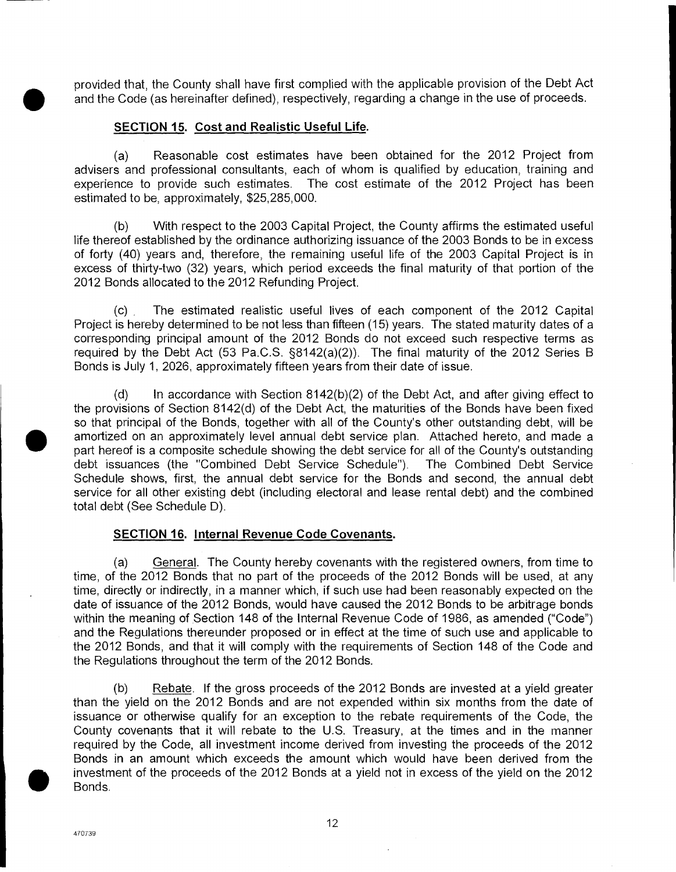provided that, the County shall have first complied with the applicable provision of the Debt Act and the Code (as hereinafter defined), respectively, regarding a change in the use of proceeds.

# **SECTION 15. Cost and Realistic Useful Life.**

(a) Reasonable cost estimates have been obtained for the 2012 Project from advisers and professional consultants, each of whom is qualified by education, training and experience to provide such estimates. The cost estimate of the 2012 Project has been estimated to be, approximately, \$25,285,000.

(b) With respect to the 2003 Capital Project, the County affirms the estimated useful life thereof established by the ordinance authorizing issuance of the 2003 Bonds to be in excess of forty (40) years and, therefore, the remaining useful life of the 2003 Capital Project is in excess of thirty-two (32) years, which period exceeds the final maturity of that portion of the 2012 Bonds allocated to the 2012 Refunding Project.

(c) The estimated realistic useful lives of each component of the 2012 Capital Project is hereby determined to be not less than fifteen (15) years. The stated maturity dates of a corresponding principal amount of the 2012 Bonds do not exceed such respective terms as required by the Debt Act (53 Pa.C.S. §8142(a)(2)). The final maturity of the 2012 Series B Bonds is July 1, 2026, approximately fifteen years from their date of issue.

(d) In accordance with Section 8142(b)(2) of the Debt Act, and after giving effect to the provisions of Section 8142(d) of the Debt Act, the maturities of the Bonds have been fixed 2012 Bonds<br>
(c)<br>
Project is he<br>
correspondi<br>
required by<br>
Bonds is Ju<br>
(d)<br>
the provisio<br>
so that prin-<br>
amortized of<br>
part hereof idebt issuar<br>
Schedule si so that principal of the Bonds, together with all of the County's other outstanding debt, will be amortized on an approximately level annual debt service plan. Attached hereto, and made a part hereof is a composite schedule showing the debt service for all of the County's outstanding debt issuances (the "Combined Debt Service Schedule"). The Combined Debt Service Schedule shows, first, the annual debt service for the Bonds and second, the annual debt service for all other existing debt (including electoral and lease rental debt) and the combined total debt (See Schedule D).

# **SECTION 16. Internal Revenue Code Covenants.**

(a) General. The County hereby covenants with the registered owners, from time to time, of the 2012 Bonds that no part of the proceeds of the 2012 Bonds will be used, at any time, directly or indirectly, in a manner which, if such use had been reasonably expected on the date of issuance of the 2012 Bonds, would have caused the 2012 Bonds to be arbitrage bonds within the meaning of Section 148 of the Internal Revenue Code of 1986, as amended ("Code") and the Regulations thereunder proposed or in effect at the time of such use and applicable to the 2012 Bonds, and that it will comply with the requirements of Section 148 of the Code and the Regulations throughout the term of the 2012 Bonds.

(b) Rebate. If the gross proceeds of the 2012 Bonds are invested at a yield greater than the yield on the 2012 Bonds and are not expended within six months from the date of issuance or otherwise qualify for an exception to the rebate requirements of the Code, the County covenants that it will rebate to the U.S. Treasury, at the times and in the manner required by the Code, all investment income derived from investing the proceeds of the 2012 within the meand the Reg<br>
and the Regulation<br>
the 2012 Bo<br>
the Regulation<br>
(b)<br>
than the yie<br>
issuance or<br>
County cove<br>
required by<br>
Bonds in ar<br>
investment c<br>
Bonds. Bonds in an amount which exceeds the amount which would have been derived from the investment of the proceeds of the 2012 Bonds at a yield not in excess of the yield on the 2012 Bonds.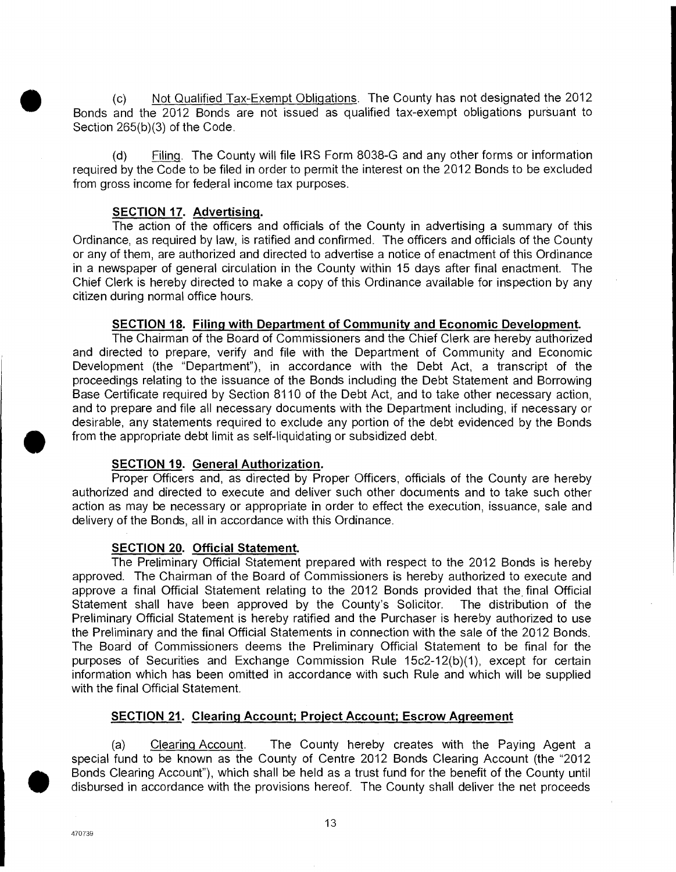(c) Not Qualified Tax-Exempt Obligations. The County has not designated the 2012 Bonds and the 2012 Bonds are not issued as qualified tax-exempt obligations pursuant to Section 265(b)(3) of the Code.

(d) Filing. The County will file IRS Form 8038-G and any other forms or information required by the Code to be filed in order to permit the interest on the 2012 Bonds to be excluded from gross income for federal income tax purposes.

#### **SECTION 17. Advertising.**

The action of the officers and officials of the County in advertising a summary of this Ordinance, as required by law, is ratified and confirmed. The officers and officials of the County or any of them, are authorized and directed to advertise a notice of enactment of this Ordinance in a newspaper of general circulation in the County within 15 days after final enactment. The Chief Clerk is hereby directed to make a copy of this Ordinance available for inspection by any citizen during normal office hours.

#### **SECTION 18. Filing with Department of Community and Economic Development**

The Chairman of the Board of Commissioners and the Chief Clerk are hereby authorized and directed to prepare, verify and file with the Department of Community and Economic Development (the "Department"), in accordance with the Debt Act, a transcript of the proceedings relating to the issuance of the Bonds including the Debt Statement and Borrowing Base Certificate required by Section 8110 of the Debt Act, and to take other necessary action, and to prepare and file all necessary documents with the Department including, if necessary or desirable, any statements required to exclude any portion of the debt evidenced by the Bonds from the appropriate debt limit as self-liquidating or subsidized debt.

#### **SECTION 19. General Authorization.**

Proper Officers and, as directed by Proper Officers, officials of the County are hereby authorized and directed to execute and deliver such other documents and to take such other action as may be necessary or appropriate in order to effect the execution, issuance, sale and delivery of the Bonds, all in accordance with this Ordinance.

#### **SECTION 20. Official Statement.**

The Preliminary Official Statement prepared with respect to the 2012 Bonds is hereby approved. The Chairman of the Board of Commissioners is hereby authorized to execute and approve a final Official Statement relating to the 2012 Bonds provided that the final Official Statement shall have been approved by the County's Solicitor. The distribution of the Preliminary Official Statement is hereby ratified and the Purchaser is hereby authorized to use the Preliminary and the final Official Statements in connection with the sale of the 2012 Bonds. The Board of Commissioners deems the Preliminary Official Statement to be final for the purposes of Securities and Exchange Commission Rule 15c2-12(b)(1), except for certain information which has been omitted in accordance with such Rule and which will be supplied with the final Official Statement.

#### **SECTION 21. Clearing Account; Project Account; Escrow Agreement**

(a) Clearing Account. The County hereby creates with the Paying Agent a special fund to be known as the County of Centre 2012 Bonds Clearing Account (the "2012 • Bonds Clearing Account"), which shall be held as a trust fund for the benefit of the County until disbursed in accordance with the provisions hereof. The County shall deliver the net proceeds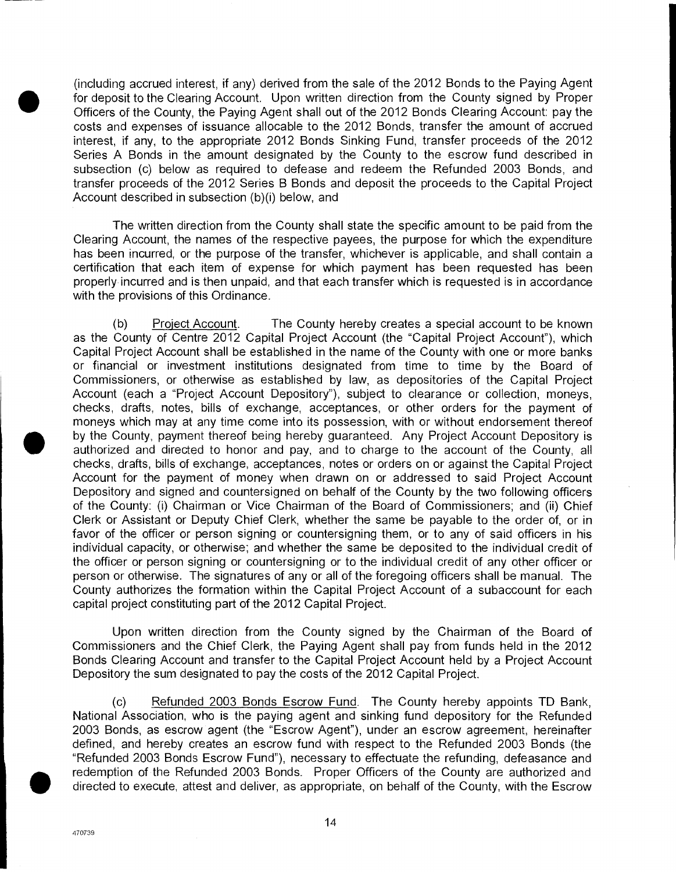(including accrued interest, if any) derived from the sale of the 2012 Bonds to the Paying Agent for deposit to the Clearing Account. Upon written direction from the County signed by Proper Officers of the County, the Paying Agent shall out of the 2012 Bonds Clearing Account: pay the costs and expenses of issuance allocable to the 2012 Bonds, transfer the amount of accrued interest, if any, to the appropriate 2012 Bonds Sinking Fund, transfer proceeds of the 2012 Series A Bonds in the amount designated by the County to the escrow fund described in subsection (c) below as required to defease and redeem the Refunded 2003 Bonds, and transfer proceeds of the 2012 Series B Bonds and deposit the proceeds to the Capital Project Account described in subsection (b)(i) below, and

The written direction from the County shall state the specific amount to be paid from the Clearing Account, the names of the respective payees, the purpose for which the expenditure has been incurred, or the purpose of the transfer, whichever is applicable, and shall contain a certification that each item of expense for which payment has been requested has been properly incurred and is then unpaid, and that each transfer which is requested is in accordance with the provisions of this Ordinance.

(b) Project Account. The County hereby creates a special account to be known as the County of Centre 2012 Capital Project Account (the "Capital Project Account"), which Capital Project Account shall be established in the name of the County with one or more banks or financial or investment institutions designated from time to time by the Board of Commissioners, or otherwise as established by law, as depositories of the Capital Project Account (each a "Project Account Depository"), subject to clearance or collection, moneys, checks, drafts, notes, bills of exchange, acceptances, or other orders for the payment of properly inc<br>with the pro<br>(b)<br>as the Cou<br>Capital Proj<br>or financia<br>Commission<br>Account (e:<br>checks, dra<br>moneys wh<br>by the Cou<br>authorized<br>checks, dra<br>authorized<br>checks, dra<br>authorized moneys which may at any time come into its possession, with or without endorsement thereof by the County, payment thereof being hereby guaranteed. Any Project Account Depository is authorized and directed to honor and pay, and to charge to the account of the County, all checks, drafts, bills of exchange, acceptances, notes or orders on or against the Capital Project Account for the payment of money when drawn on or addressed to said Project Account Depository and signed and countersigned on behalf of the County by the two following officers of the County: (i) Chairman or Vice Chairman of the Board of Commissioners; and (ii) Chief Clerk or Assistant or Deputy Chief Clerk, whether the same be payable to the order of, or in favor of the officer or person signing or countersigning them, or to any of said officers in his individual capacity, or otherwise; and whether the same be deposited to the individual credit of the officer or person signing or countersigning or to the individual credit of any other officer or person or otherwise. The signatures of any or all of the foregoing officers shall be manual. The County authorizes the formation within the Capital Project Account of a subaccount for each capital project constituting part of the 2012 Capital Project.

Upon written direction from the County signed by the Chairman of the Board of Commissioners and the Chief Clerk, the Paying Agent shall pay from funds held in the 2012 Bonds Clearing Account and transfer to the Capital Project Account held by a Project Account Depository the sum designated to pay the costs of the 2012 Capital Project.

(c) Refunded 2003 Bonds Escrow Fund. The County hereby appoints TD Bank, National Association, who is the paying agent and sinking fund depository for the Refunded 2003 Bonds, as escrow agent (the "Escrow Agent"), under an escrow agreement, hereinafter defined, and hereby creates an escrow fund with respect to the Refunded 2003 Bonds (the "Refunded 2003 Bonds Escrow Fund"), necessary to effectuate the refunding, defeasance and redemption of the Refunded 2003 Bonds. Proper Officers of the County are authorized and directed to execute, attest and deliver, as appropriate, on behalf of the County, with the Escrow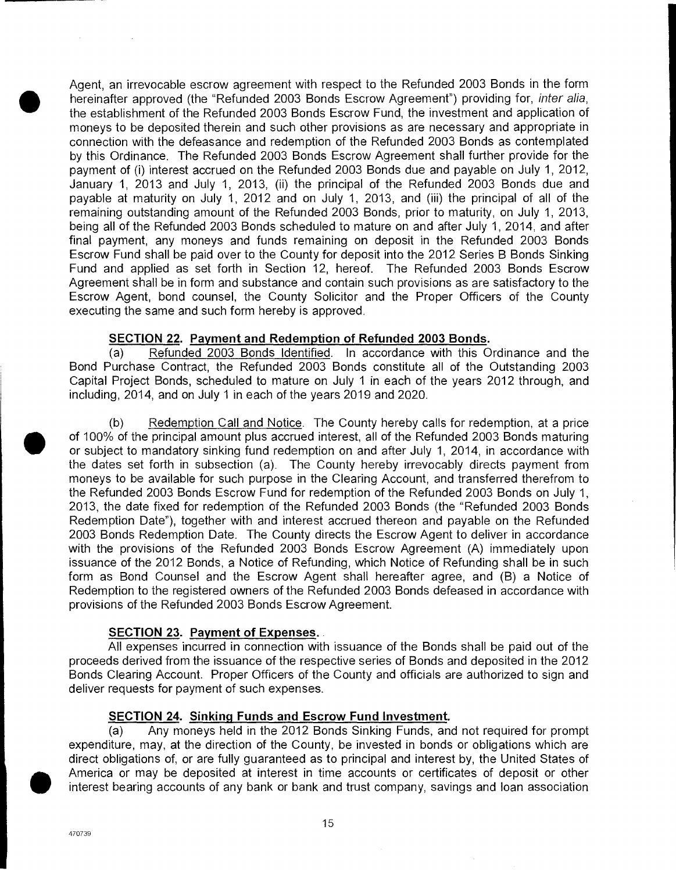Agent, an irrevocable escrow agreement with respect to the Refunded 2003 Bonds in the form hereinafter approved (the "Refunded 2003 Bonds Escrow Agreement") providing for, inter alia, the establishment of the Refunded 2003 Bonds Escrow Fund, the investment and application of moneys to be deposited therein and such other provisions as are necessary and appropriate in connection with the defeasance and redemption of the Refunded 2003 Bonds as contemplated by this Ordinance. The Refunded 2003 Bonds Escrow Agreement shall further provide for the payment of (i) interest accrued on the Refunded 2003 Bonds due and payable on July 1, 2012, January 1, 2013 and July 1, 2013, (ii) the principal of the Refunded 2003 Bonds due and payable at maturity on July 1, 2012 and on July 1, 2013, and (iii) the principal of all of the remaining outstanding amount of the Refunded 2003 Bonds, prior to maturity, on July 1, 2013, being all of the Refunded 2003 Bonds scheduled to mature on and after July 1, 2014, and after final payment, any moneys and funds remaining on deposit in the Refunded 2003 Bonds Escrow Fund shall be paid over to the County for deposit into the 2012 Series B Bonds Sinking Fund and applied as set forth in Section 12, hereof. The Refunded 2003 Bonds Escrow Agreement shall be in form and substance and contain such provisions as are satisfactory to the Escrow Agent, bond counsel, the County Solicitor and the Proper Officers of the County executing the same and such form hereby is approved.

# **SECTION 22. Payment and Redemption of Refunded 2003 Bonds.**

(a) Refunded 2003 Bonds Identified. In accordance with this Ordinance and the Bond Purchase Contract, the Refunded 2003 Bonds constitute all of the Outstanding 2003 Capital Project Bonds, scheduled to mature on July 1 in each of the years 2012 through, and including, 2014, and on July 1 in each of the years 2019 and 2020.

Agreement s<br>
Escrow Age<br>
executing the<br>
secuting the<br>
SEC1<br>
(a)<br>
Bond Purch:<br>
Capital Proje<br>
including, 20<br>
(b)<br>
of 100% of the<br>
or subject to<br>
the dates seemoneys to be (b) Redemption Call and Notice. The County hereby calls for redemption, at a price of 100% of the principal amount plus accrued interest, all of the Refunded 2003 Bonds maturing or subject to mandatory sinking fund redemption on and after July 1, 2014, in accordance with the dates set forth in subsection (a). The County hereby irrevocably directs payment from moneys to be available for such purpose in the Clearing Account, and transferred therefrom to the Refunded 2003 Bonds Escrow Fund for redemption of the Refunded 2003 Bonds on July 1, 2013, the date fixed for redemption of the Refunded 2003 Bonds (the "Refunded 2003 Bonds Redemption Date"), together with and interest accrued thereon and payable on the Refunded 2003 Bonds Redemption Date. The County directs the Escrow Agent to deliver in accordance with the provisions of the Refunded 2003 Bonds Escrow Agreement (A) immediately upon issuance of the 2012 Bonds, a Notice of Refunding, which Notice of Refunding shall be in such form as Bond Counsel and the Escrow Agent shall hereafter agree, and (B) a Notice of Redemption to the registered owners of the Refunded 2003 Bonds defeased in accordance with provisions of the Refunded 2003 Bonds Escrow Agreement.

# **SECTION 23. Payment of Expenses..**

All expenses incurred in connection with issuance of the Bonds shall be paid out of the proceeds derived from the issuance of the respective series of Bonds and deposited in the 2012 Bonds Clearing Account. Proper Officers of the County and officials are authorized to sign and deliver requests for payment of such expenses.

#### **SECTION 24. Sinking Funds and Escrow Fund Investment.**

(a) Any moneys held in the 2012 Bonds Sinking Funds, and not required for prompt expenditure, may, at the direction of the County, be invested in bonds or obligations which are direct obligations of, or are fully guaranteed as to principal and interest by, the United States of America or may be deposited at interest in time accounts or certificates of deposit or other interest bearing accounts of any bank or bank and trust company, savings and loan association

**•**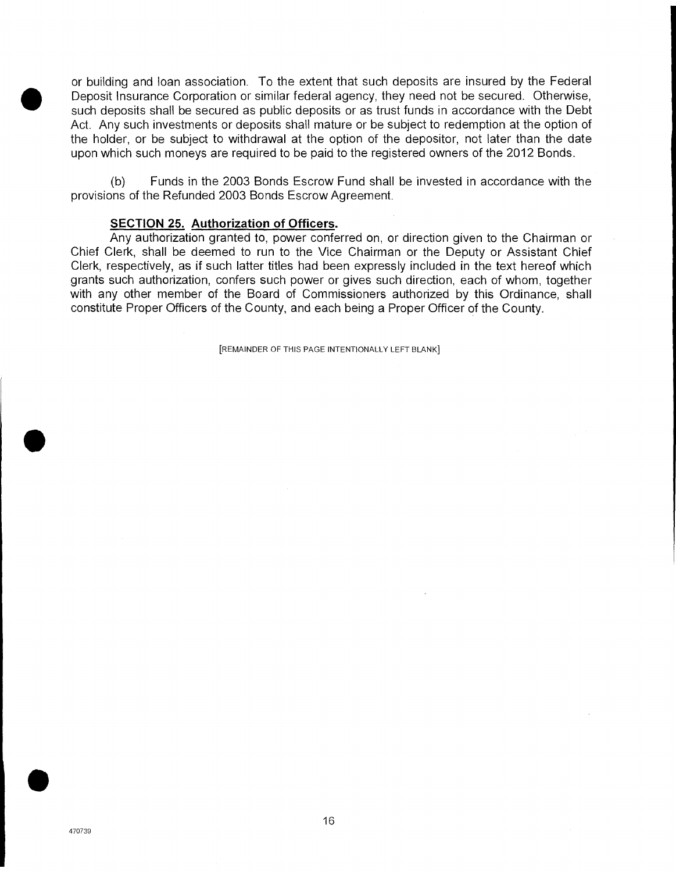or building and loan association. To the extent that such deposits are insured by the Federal Deposit Insurance Corporation or similar federal agency, they need not be secured. Otherwise, such deposits shall be secured as public deposits or as trust funds in accordance with the Debt Act. Any such investments or deposits shall mature or be subject to redemption at the option of the holder, or be subject to withdrawal at the option of the depositor, not later than the date upon which such moneys are required to be paid to the registered owners of the 2012 Bonds.

(b) Funds in the 2003 Bonds Escrow Fund shall be invested in accordance with the provisions of the Refunded 2003 Bonds Escrow Agreement.

#### **SECTION 25. Authorization of Officers.**

Any authorization granted to, power conferred on, or direction given to the Chairman or Chief Clerk, shall be deemed to run to the Vice Chairman or the Deputy or Assistant Chief Clerk, respectively, as if such latter titles had been expressly included in the text hereof which grants such authorization, confers such power or gives such direction, each of whom, together with any other member of the Board of Commissioners authorized by this Ordinance, shall constitute Proper Officers of the County, and each being a Proper Officer of the County.

[REMAINDER OF THIS PAGE INTENTIONALLY LEFT BLANK]

 $\bullet$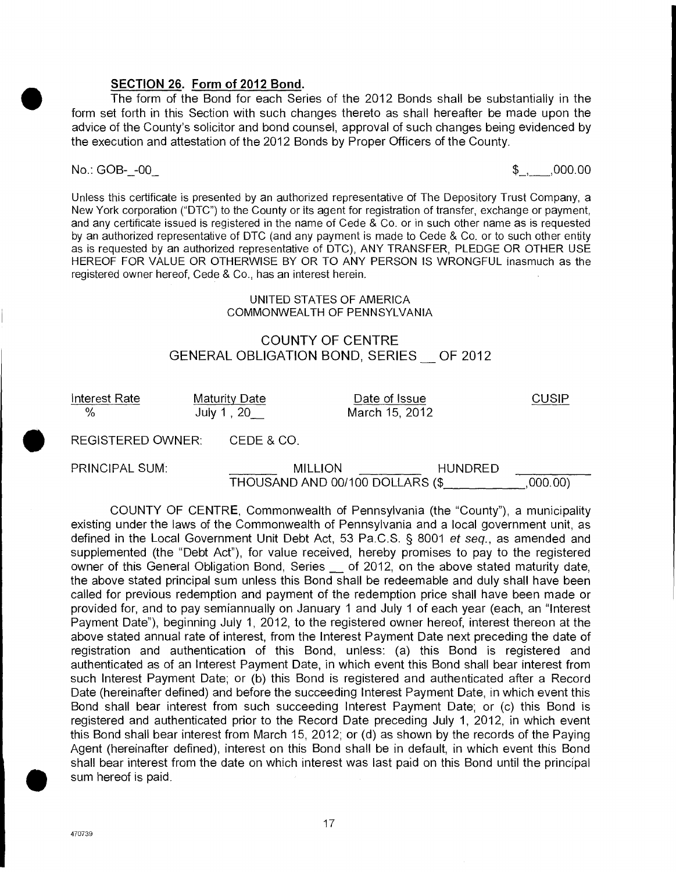#### **SECTION 26. Form of 2012 Bond.**

The form of the Bond for each Series of the 2012 Bonds shall be substantially in the form set forth in this Section with such changes thereto as shall hereafter be made upon the advice of the County's solicitor and bond counsel, approval of such changes being evidenced by the execution and attestation of the 2012 Bonds by Proper Officers of the County.

# $\infty$ .: GOB- $-00$  , 000.00

Unless this certificate is presented by an authorized representative of The Depository Trust Company, a New York corporation ('DTC") to the County or its agent for registration of transfer, exchange or payment, and any certificate issued is registered in the name of Cede & Co. or in such other name as is requested by an authorized representative of DTC (and any payment is made to Cede & Co. or to such other entity as is requested by an authorized representative of DTC), ANY TRANSFER, PLEDGE OR OTHER USE HEREOF FOR VALUE OR OTHERWISE BY OR TO ANY PERSON IS WRONGFUL inasmuch as the registered owner hereof, Cede & Co., has an interest herein.

#### UNITED STATES OF AMERICA COMMONWEALTH OF PENNSYLVANIA

# COUNTY OF CENTRE GENERAL OBLIGATION BOND, SERIES OF 2012

Interest Rate Maturity Date Date of Issue CUSIP % July 1, 20 March 15, 2012

REGISTERED OWNER: CEDE & CO.

PRINCIPAL SUM: MILLION HUNDRED THOUSAND AND 00/100 DOLLARS (\$ ,000.00)

COUNTY OF CENTRE, Commonwealth of Pennsylvania (the "County"), a municipality existing under the laws of the Commonwealth of Pennsylvania and a local government unit, as defined in the Local Government Unit Debt Act, 53 Pa.C.S. § 8001 et seq., as amended and supplemented (the "Debt Act"), for value received, hereby promises to pay to the registered owner of this General Obligation Bond, Series of 2012, on the above stated maturity date, the above stated principal sum unless this Bond shall be redeemable and duly shall have been called for previous redemption and payment of the redemption price shall have been made or provided for, and to pay semiannually on January 1 and July 1 of each year (each, an "Interest Payment Date"), beginning July 1, 2012, to the registered owner hereof, interest thereon at the above stated annual rate of interest, from the Interest Payment Date next preceding the date of registration and authentication of this Bond, unless: (a) this Bond is registered and authenticated as of an Interest Payment Date, in which event this Bond shall bear interest from such Interest Payment Date; or (b) this Bond is registered and authenticated after a Record Date (hereinafter defined) and before the succeeding Interest Payment Date, in which event this Bond shall bear interest from such succeeding Interest Payment Date; or (c) this Bond is registered and authenticated prior to the Record Date preceding July 1, 2012, in which event this Bond shall bear interest from March 15, 2012; or (d) as shown by the records of the Paying Agent (hereinafter defined), interest on this Bond shall be in default, in which event this Bond shall bear interest from the date on which interest was last paid on this Bond until the principal sum hereof is paid.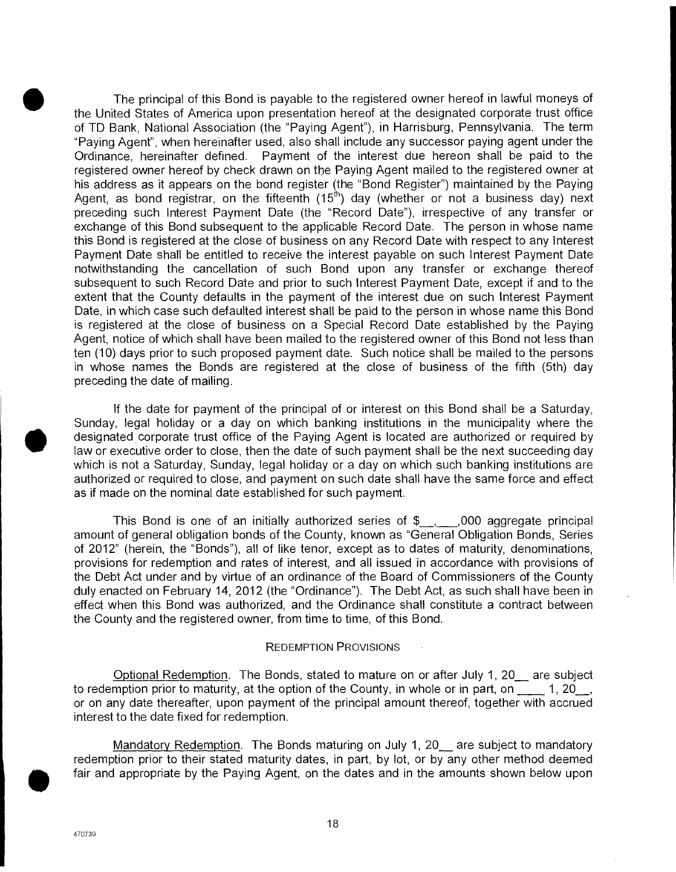The principal of this Bond is payable to the registered owner hereof in lawful moneys of the United States of America upon presentation hereof at the designated corporate trust office of TD Bank, National Association (the "Paying Agent"), in Harrisburg, Pennsylvania. The term "Paying Agent", when hereinafter used, also shall include any successor paying agent under the Ordinance, hereinafter defined. Payment of the interest due hereon shall be paid to the registered owner hereof by check drawn on the Paying Agent mailed to the registered owner at his address as it appears on the bond register (the "Bond Register") maintained by the Paying Agent, as bond registrar, on the fifteenth  $(15<sup>th</sup>)$  day (whether or not a business day) next preceding such Interest Payment Date (the "Record Date"), irrespective of any transfer or exchange of this Bond subsequent to the applicable Record Date. The person in whose name this Bond is registered at the close of business on any Record Date with respect to any Interest Payment Date shall be entitled to receive the interest payable on such Interest Payment Date notwithstanding the cancellation of such Bond upon any transfer or exchange thereof subsequent to such Record Date and prior to such Interest Payment Date, except if and to the extent that the County defaults in the payment of the interest due on such Interest Payment Date, in which case such defaulted interest shall be paid to the person in whose name this Bond is registered at the close of business on a Special Record Date established by the Paying Agent, notice of which shall have been mailed to the registered owner of this Bond not less than ten (10) days prior to such proposed payment date. Such notice shall be mailed to the persons in whose names the Bonds are registered at the close of business of the fifth (5th) day preceding the date of mailing. nowiristand<br>subsequent that the<br>Date, in which<br>is registered<br>Agent, notice<br>ten (10) days<br>in whose name preceding the<br>If the<br>Sunday, legs<br>designated chaw or executive in the suntion is not<br>authorized of

If the date for payment of the principal of or interest on this Bond shall be a Saturday, Sunday, legal holiday or a day on which banking institutions in the municipality where the designated corporate trust office of the Paying Agent is located are authorized or required by law or executive order to close, then the date of such payment shall be the next succeeding day which is not a Saturday, Sunday, legal holiday or a day on which such banking institutions are authorized or required to close, and payment on such date shall have the same force and effect as if made on the nominal date established for such payment.

This Bond is one of an initially authorized series of \$\_\_, 000 aggregate principal amount of general obligation bonds of the County, known as "General Obligation Bonds, Series of 2012" (herein, the "Bonds"), all of like tenor, except as to dates of maturity, denominations, provisions for redemption and rates of interest, and all issued in accordance with provisions of the Debt Act under and by virtue of an ordinance of the Board of Commissioners of the County duly enacted on February 14, 2012 (the "Ordinance"). The Debt Act, as such shall have been in effect when this Bond was authorized, and the Ordinance shall constitute a contract between the County and the registered owner, from time to time, of this Bond.

#### REDEMPTION PROVISIONS

Optional Redemption. The Bonds, stated to mature on or after July 1, 20\_ are subject to redemption prior to maturity, at the option of the County, in whole or in part, on  $\frac{1}{20}$ , or on any date thereafter, upon payment of the principal amount thereof, together with accrued interest to the date fixed for redemption.

Mandatory Redemption. The Bonds maturing on July 1, 20\_ are subject to mandatory redemption prior to their stated maturity dates, in part, by lot, or by any other method deemed fair and appropriate by the Paying Agent, on the dates and in the amounts shown below upon

470739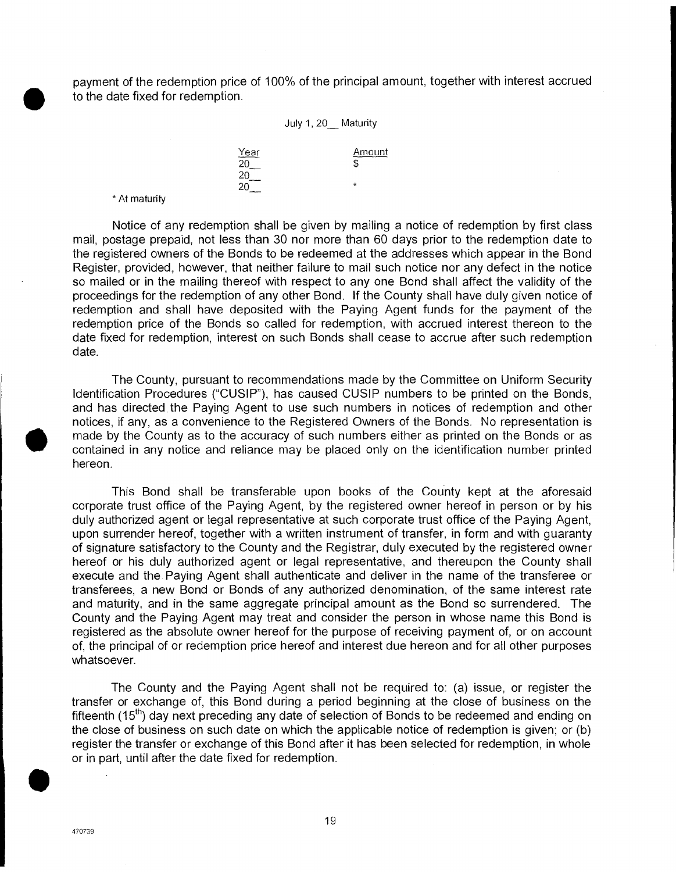payment of the redemption price of 100% of the principal amount, together with interest accrued to the date fixed for redemption.

#### July 1, 20\_ Maturity

Year **Amount** 20 **b** 20  $20$  \*

\* At maturity

Notice of any redemption shall be given by mailing a notice of redemption by first class mail, postage prepaid, not less than 30 nor more than 60 days prior to the redemption date to the registered owners of the Bonds to be redeemed at the addresses which appear in the Bond Register, provided, however, that neither failure to mail such notice nor any defect in the notice so mailed or in the mailing thereof with respect to any one Bond shall affect the validity of the proceedings for the redemption of any other Bond. If the County shall have duly given notice of redemption and shall have deposited with the Paying Agent funds for the payment of the redemption price of the Bonds so called for redemption, with accrued interest thereon to the date fixed for redemption, interest on such Bonds shall cease to accrue after such redemption date.

The County, pursuant to recommendations made by the Committee on Uniform Security Identification Procedures ("CUSIP"), has caused CUSIP numbers to be printed on the Bonds, and has directed the Paying Agent to use such numbers in notices of redemption and other register, pro<br>so mailed or<br>proceedings<br>redemption a<br>redemption p<br>date fixed for<br>date.<br>The C<br>ldentification<br>and has dire<br>notices, if any<br>made by the<br>contained in<br>hereon. notices, if any, as a convenience to the Registered Owners of the Bonds. No representation is made by the County as to the accuracy of such numbers either as printed on the Bonds or as contained in any notice and reliance may be placed only on the identification number printed hereon.

This Bond shall be transferable upon books of the County kept at the aforesaid corporate trust office of the Paying Agent, by the registered owner hereof in person or by his duly authorized agent or legal representative at such corporate trust office of the Paying Agent, upon surrender hereof, together with a written instrument of transfer, in form and with guaranty of signature satisfactory to the County and the Registrar, duly executed by the registered owner hereof or his duly authorized agent or legal representative, and thereupon the County shall execute and the Paying Agent shall authenticate and deliver in the name of the transferee or transferees, a new Bond or Bonds of any authorized denomination, of the same interest rate and maturity, and in the same aggregate principal amount as the Bond so surrendered. The County and the Paying Agent may treat and consider the person in whose name this Bond is registered as the absolute owner hereof for the purpose of receiving payment of, or on account of, the principal of or redemption price hereof and interest due hereon and for all other purposes whatsoever.

The County and the Paying Agent shall not be required to: (a) issue, or register the transfer or exchange of, this Bond during a period beginning at the close of business on the fifteenth (15<sup>th</sup>) day next preceding any date of selection of Bonds to be redeemed and ending on the close of business on such date on which the applicable notice of redemption is given; or (b) register the transfer or exchange of this Bond after it has been selected for redemption, in whole or in part, until after the date fixed for redemption.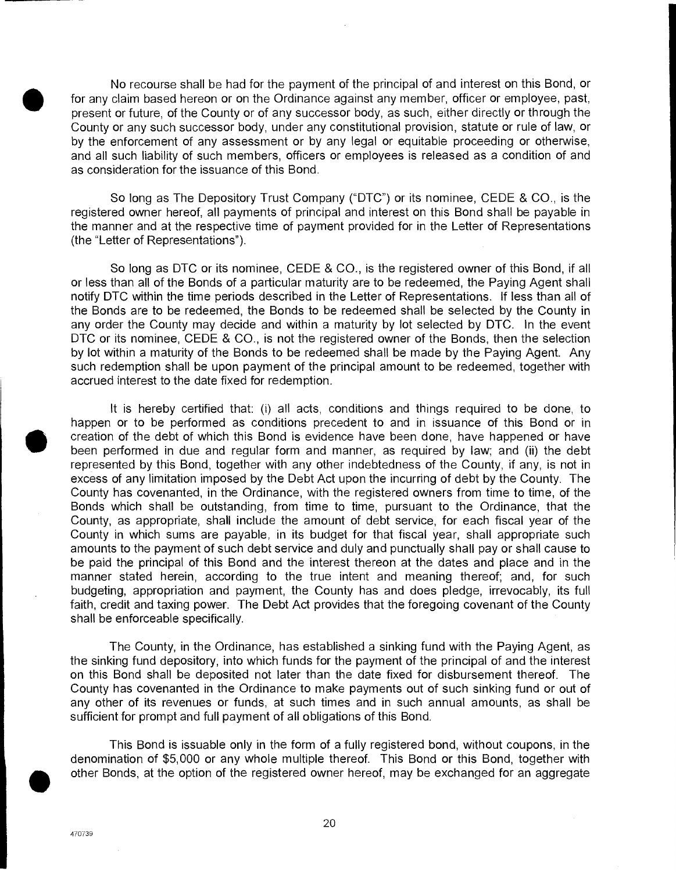No recourse shall be had for the payment of the principal of and interest on this Bond, or for any claim based hereon or on the Ordinance against any member, officer or employee, past, present or future, of the County or of any successor body, as such, either directly or through the County or any such successor body, under any constitutional provision, statute or rule of law, or by the enforcement of any assessment or by any legal or equitable proceeding or otherwise, and all such liability of such members, officers or employees is released as a condition of and as consideration for the issuance of this Bond.

So long as The Depository Trust Company ("DTC") or its nominee, CEDE & CO., is the registered owner hereof, all payments of principal and interest on this Bond shall be payable in the manner and at the respective time of payment provided for in the Letter of Representations (the "Letter of Representations").

So long as DTC or its nominee, CEDE & CO., is the registered owner of this Bond, if all or less than all of the Bonds of a particular maturity are to be redeemed, the Paying Agent shall notify DTC within the time periods described in the Letter of Representations. If less than all of the Bonds are to be redeemed, the Bonds to be redeemed shall be selected by the County in any order the County may decide and within a maturity by lot selected by DTC. In the event DTC or its nominee, CEDE & CO., is not the registered owner of the Bonds, then the selection by lot within a maturity of the Bonds to be redeemed shall be made by the Paying Agent. Any such redemption shall be upon payment of the principal amount to be redeemed, together with accrued interest to the date fixed for redemption.

It is hereby certified that: (i) all acts, conditions and things required to be done, to happen or to be performed as conditions precedent to and in issuance of this Bond or in creation of the debt of which this Bond is evidence have been done, have happened or have Experience of the debt of which this Bond is evidence have been done, have happened or have been performed in due and regular form and manner, as required by law; and (ii) the debt represented by this Bond, together with any other indebtedness of the County, if any, is not in excess of any limitation imposed by the Debt Act upon the incurring of debt by the County. The County has covenanted, in the Ordinance, with the registered owners from time to time, of the Bonds which shall be outstanding, from time to time, pursuant to the Ordinance, that the County, as appropriate, shall include the amount of debt service, for each fiscal year of the County in which sums are payable, in its budget for that fiscal year, shall appropriate such amounts to the payment of such debt service and duly and punctually shall pay or shall cause to be paid the principal of this Bond and the interest thereon at the dates and place and in the manner stated herein, according to the true intent and meaning thereof; and, for such budgeting, appropriation and payment, the County has and does pledge, irrevocably, its full faith, credit and taxing power. The Debt Act provides that the foregoing covenant of the County shall be enforceable specifically.

The County, in the Ordinance, has established a sinking fund with the Paying Agent, as the sinking fund depository, into which funds for the payment of the principal of and the interest on this Bond shall be deposited not later than the date fixed for disbursement thereof. The County has covenanted in the Ordinance to make payments out of such sinking fund or out of any other of its revenues or funds, at such times and in such annual amounts, as shall be sufficient for prompt and full payment of all obligations of this Bond.

This Bond is issuable only in the form of a fully registered bond, without coupons, in the denomination of \$5,000 or any whole multiple thereof. This Bond or this Bond, together with other Bonds, at the option of the registered owner hereof, may be exchanged for an aggregate

20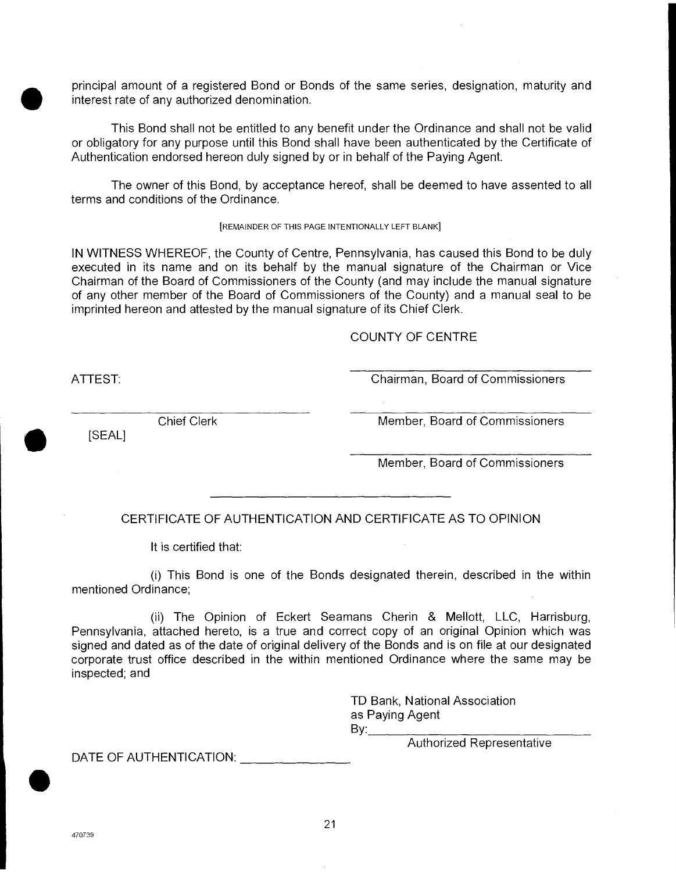principal amount of a registered Bond or Bonds of the same series, designation, maturity and interest rate of any authorized denomination.

This Bond shall not be entitled to any benefit under the Ordinance and shall not be valid or obligatory for any purpose until this Bond shall have been authenticated by the Certificate of Authentication endorsed hereon duly signed by or in behalf of the Paying Agent.

The owner of this Bond, by acceptance hereof, shall be deemed to have assented to all terms and conditions of the Ordinance.

[REMAINDER OF THIS PAGE INTENTIONALLY LEFT BLANK]

IN WITNESS WHEREOF, the County of Centre, Pennsylvania, has caused this Bond to be duly executed in its name and on its behalf by the manual signature of the Chairman or Vice Chairman of the Board of Commissioners of the County (and may include the manual signature of any other member of the Board of Commissioners of the County) and a manual seal to be imprinted hereon and attested by the manual signature of its Chief Clerk.

COUNTY OF CENTRE

[SEAL]

•

ATTEST: Chairman, Board of Commissioners

Chief Clerk Member, Board of Commissioners

Member, Board of Commissioners

CERTIFICATE OF AUTHENTICATION AND CERTIFICATE AS TO OPINION

It is certified that:

(i) This Bond is one of the Bonds designated therein, described in the within mentioned Ordinance;

(ii) The Opinion of Eckert Seamans Cherin & Mellott, LLC, Harrisburg, Pennsylvania, attached hereto, is a true and correct copy of an original Opinion which was signed and dated as of the date of original delivery of the Bonds and is on file at our designated corporate trust office described in the within mentioned Ordinance where the same may be inspected; and

> TD Bank, National Association as Paying Agent  $\mathsf{By:}$

> > Authorized Representative

DATE OF AUTHENTICATION: UNIT

**S**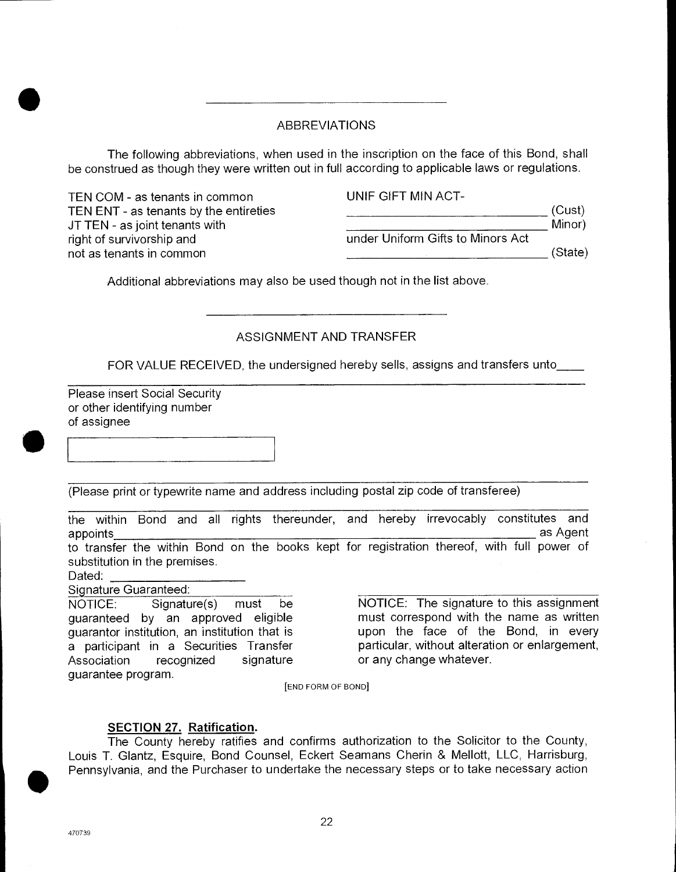# ABBREVIATIONS

The following abbreviations, when used in the inscription on the face of this Bond, shall be construed as though they were written out in full according to applicable laws or regulations.

| TEN COM - as tenants in common         | UNIF GIFT MIN ACT-                |         |
|----------------------------------------|-----------------------------------|---------|
| TEN ENT - as tenants by the entireties |                                   | (Cust)  |
| JT TEN - as joint tenants with         |                                   | Minor)  |
| right of survivorship and              | under Uniform Gifts to Minors Act |         |
| not as tenants in common               |                                   | (State) |

Additional abbreviations may also be used though not in the list above.

# ASSIGNMENT AND TRANSFER

FOR VALUE RECEIVED, the undersigned hereby sells, assigns and transfers unto

Please insert Social Security or other identifying number FC<br>
Please ins<br>
or other id<br>
of assigne of assignee

(Please print or typewrite name and address including postal zip code of transferee)

the within Bond and all rights thereunder, and hereby irrevocably constitutes and appoints as Agent to transfer the within Bond on the books kept for registration thereof, with full power of substitution in the premises.

Dated:

Sianature Guaranteed:

NOTICE: Signature(s) must be guaranteed by an approved eligible guarantor institution, an institution that is a participant in a Securities Transfer Association recognized signature guarantee program.

NOTICE: The signature to this assignment must correspond with the name as written upon the face of the Bond, in every particular, without alteration or enlargement, or any change whatever.

[END FORM OF BOND]

# **SECTION 27. Ratification.**

The County hereby ratifies and confirms authorization to the Solicitor to the County, Louis T. Glantz, Esquire, Bond Counsel, Eckert Seamans Cherin & Mellott, LLC, Harrisburg, Pennsylvania, and the Purchaser to undertake the necessary steps or to take necessary action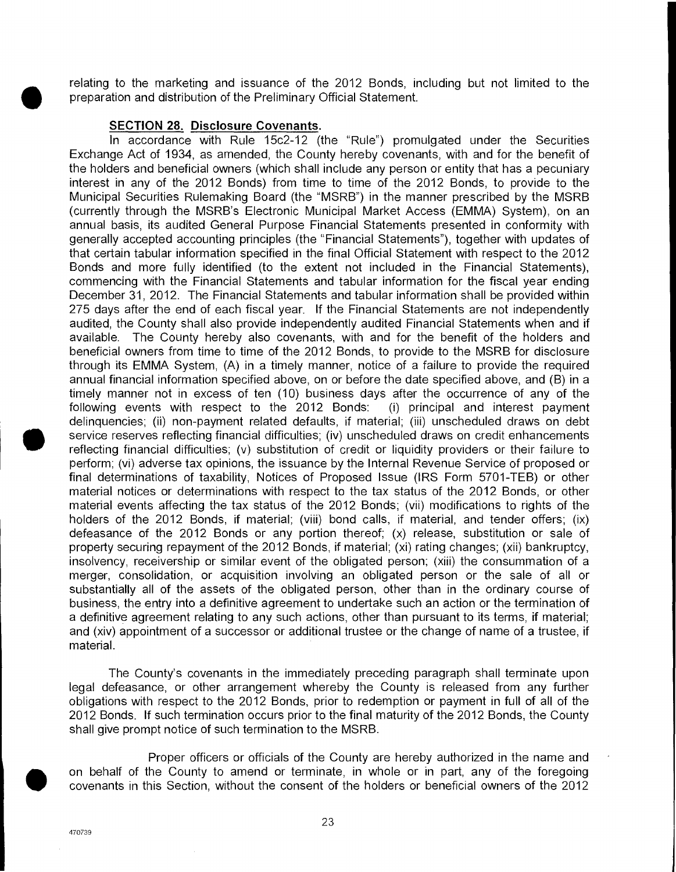relating to the marketing and issuance of the 2012 Bonds, including but not limited to the preparation and distribution of the Preliminary Official Statement.

#### **SECTION 28. Disclosure Covenants.**

In accordance with Rule 15c2-12 (the "Rule") promulgated under the Securities Exchange Act of 1934, as amended, the County hereby covenants, with and for the benefit of the holders and beneficial owners (which shall include any person or entity that has a pecuniary interest in any of the 2012 Bonds) from time to time of the 2012 Bonds, to provide to the Municipal Securities Rulemaking Board (the "MSRB") in the manner prescribed by the MSRB (currently through the MSRB's Electronic Municipal Market Access (EMMA) System), on an annual basis, its audited General Purpose Financial Statements presented in conformity with generally accepted accounting principles (the "Financial Statements"), together with updates of that certain tabular information specified in the final Official Statement with respect to the 2012 Bonds and more fully identified (to the extent not included in the Financial Statements), commencing with the Financial Statements and tabular information for the fiscal year ending December 31, 2012. The Financial Statements and tabular information shall be provided within 275 days after the end of each fiscal year. If the Financial Statements are not independently audited, the County shall also provide independently audited Financial Statements when and if available. The County hereby also covenants, with and for the benefit of the holders and beneficial owners from time to time of the 2012 Bonds, to provide to the MSRB for disclosure through its EMMA System, (A) in a timely manner, notice of a failure to provide the required annual financial information specified above, on or before the date specified above, and (B) in a timely manner not in excess of ten (10) business days after the occurrence of any of the following events with respect to the 2012 Bonds: (i) principal and interest payment delinquencies; (ii) non-payment related defaults, if material; (iii) unscheduled draws on debt Gelinquencies; (ii) non-payment related deratilis, if material; (iii) unscheduled draws on debt<br>service reserves reflecting financial difficulties; (iv) unscheduled draws on credit enhancements<br>reflecting financial difficu perform; (vi) adverse tax opinions, the issuance by the Internal Revenue Service of proposed or final determinations of taxability, Notices of Proposed Issue (IRS Form 5701-TEB) or other material notices or determinations with respect to the tax status of the 2012 Bonds, or other material events affecting the tax status of the 2012 Bonds; (vii) modifications to rights of the holders of the 2012 Bonds, if material; (viii) bond calls, if material, and tender offers; (ix) defeasance of the 2012 Bonds or any portion thereof; (x) release, substitution or sale of property securing repayment of the 2012 Bonds, if material; (xi) rating changes; (xii) bankruptcy, insolvency, receivership or similar event of the obligated person; (xiii) the consummation of a merger, consolidation, or acquisition involving an obligated person or the sale of all or substantially all of the assets of the obligated person, other than in the ordinary course of business, the entry into a definitive agreement to undertake such an action or the termination of a definitive agreement relating to any such actions, other than pursuant to its terms, if material; and (xiv) appointment of a successor or additional trustee or the change of name of a trustee, if material.

The County's covenants in the immediately preceding paragraph shall terminate upon legal defeasance, or other arrangement whereby the County is released from any further obligations with respect to the 2012 Bonds, prior to redemption or payment in full of all of the 2012 Bonds. If such termination occurs prior to the final maturity of the 2012 Bonds, the County shall give prompt notice of such termination to the MSRB. a definitive a<br>
and (xiv) app<br>
material.<br>
The (<br>
legal defeas<br>
obligations w<br>
2012 Bonds.<br>
shall give pro

Proper officers or officials of the County are hereby authorized in the name and on behalf of the County to amend or terminate, in whole or in part, any of the foregoing covenants in this Section, without the consent of the holders or beneficial owners of the 2012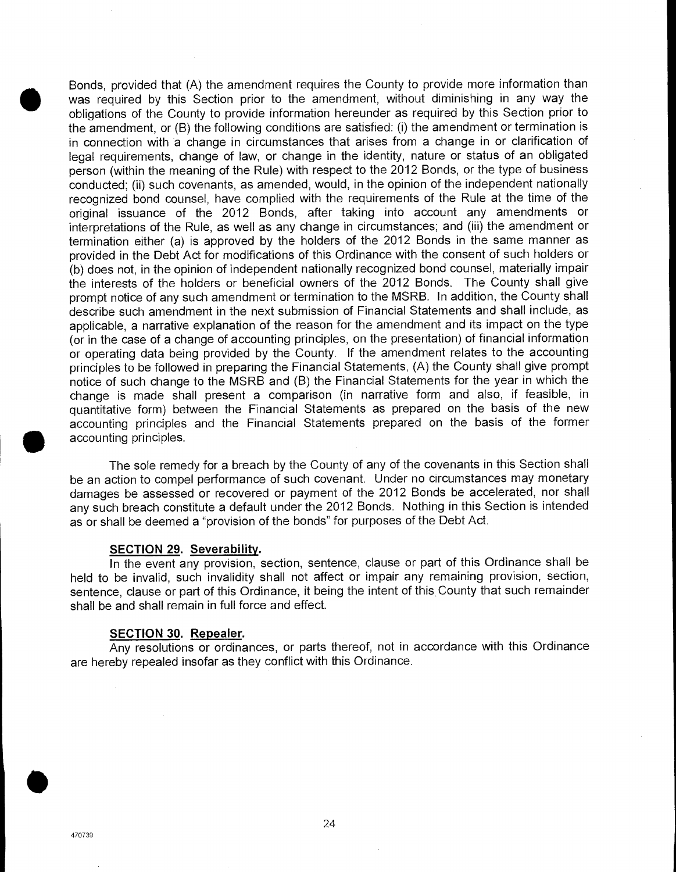Bonds, provided that (A) the amendment requires the County to provide more information than was required by this Section prior to the amendment, without diminishing in any way the obligations of the County to provide information hereunder as required by this Section prior to the amendment, or (B) the following conditions are satisfied: (i) the amendment or termination is in connection with a change in circumstances that arises from a change in or clarification of legal requirements, change of law, or change in the identity, nature or status of an obligated person (within the meaning of the Rule) with respect to the 2012 Bonds, or the type of business conducted; (ii) such covenants, as amended, would, in the opinion of the independent nationally recognized bond counsel, have complied with the requirements of the Rule at the time of the original issuance of the 2012 Bonds, after taking into account any amendments or interpretations of the Rule, as well as any change in circumstances; and (iii) the amendment or termination either (a) is approved by the holders of the 2012 Bonds in the same manner as provided in the Debt Act for modifications of this Ordinance with the consent of such holders or (b) does not, in the opinion of independent nationally recognized bond counsel, materially impair the interests of the holders or beneficial owners of the 2012 Bonds. The County shall give prompt notice of any such amendment or termination to the MSRB. In addition, the County shall describe such amendment in the next submission of Financial Statements and shall include, as applicable, a narrative explanation of the reason for the amendment and its impact on the type (or in the case of a change of accounting principles, on the presentation) of financial information or operating data being provided by the County. If the amendment relates to the accounting principles to be followed in preparing the Financial Statements, (A) the County shall give prompt notice of such change to the MSRB and (B) the Financial Statements for the year in which the change is made shall present a comparison (in narrative form and also, if feasible, in quantitative form) between the Financial Statements as prepared on the basis of the new accounting principles and the Financial Statements prepared on the basis of the former accounting principles.

The sole remedy for a breach by the County of any of the covenants in this Section shall be an action to compel performance of such covenant. Under no circumstances may monetary damages be assessed or recovered or payment of the 2012 Bonds be accelerated, nor shall any such breach constitute a default under the 2012 Bonds. Nothing in this Section is intended as or shall be deemed a "provision of the bonds" for purposes of the Debt Act.

#### **SECTION 29. Severability.**

In the event any provision, section, sentence, clause or part of this Ordinance shall be held to be invalid, such invalidity shall not affect or impair any remaining provision, section, sentence, clause or part of this Ordinance, it being the intent of this County that such remainder shall be and shall remain in full force and effect.

#### **SECTION 30. Repealer.**

Any resolutions or ordinances, or parts thereof, not in accordance with this Ordinance are hereby repealed insofar as they conflict with this Ordinance.

**S**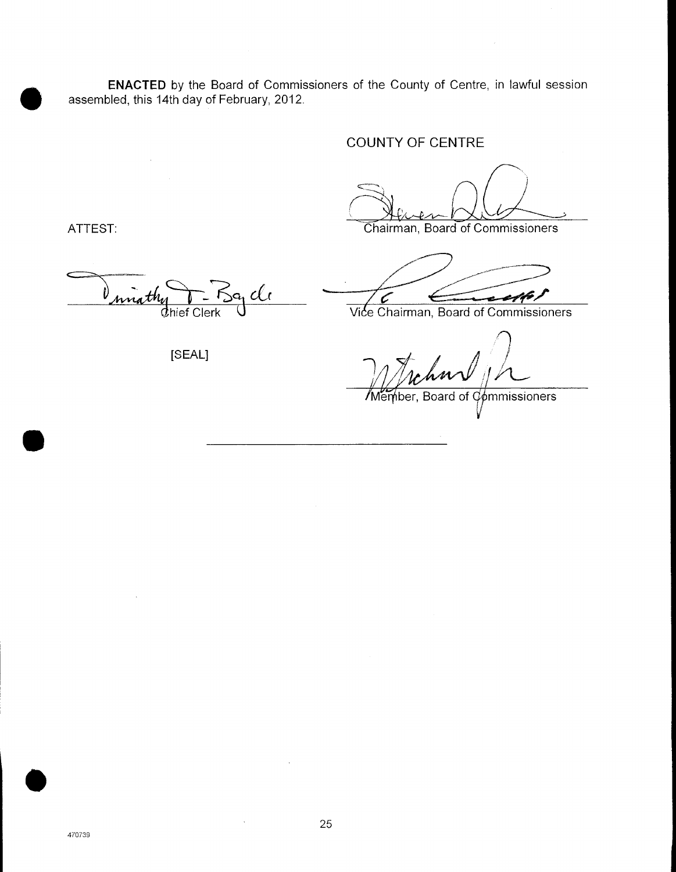**ENACTED** by the Board of Commissioners of the County of Centre, in lawful session assembled, this 14th day of February, 2012.

# COUNTY OF CENTRE

ATTEST: Chairman, Board of Commissioners

miathy

[SEAL]

dhief Clerk U Vice Chairman, Board of Commissioners ¥ Ć

*Member, Board of*  $\mathcal{C}_{\phi}$ *mmissioners* 

 $\bullet$ 

 $\bullet$ 

 $\bar{z}$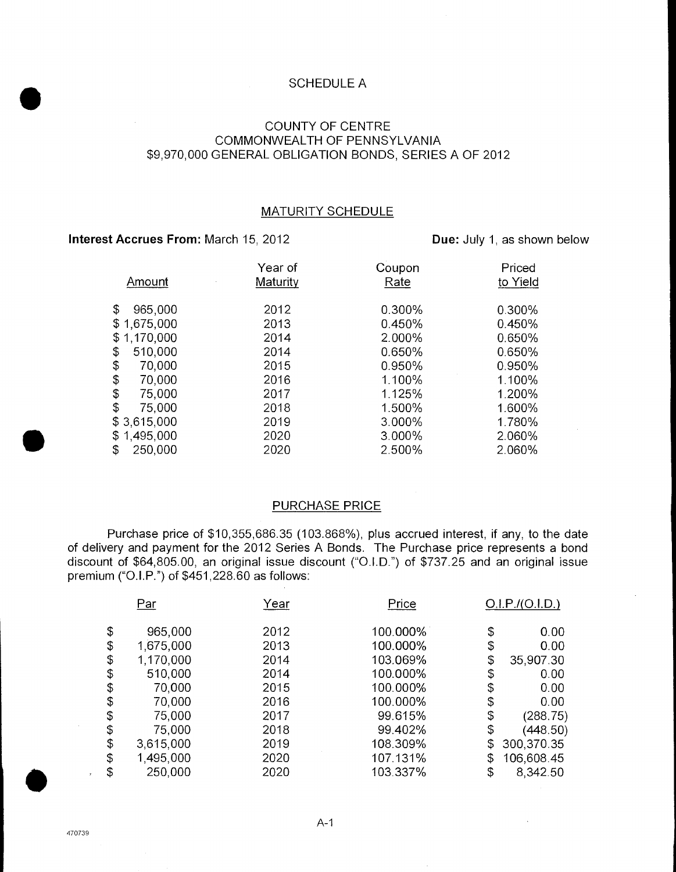#### SCHEDULE A

## COUNTY OF CENTRE COMMONWEALTH OF PENNSYLVANIA \$9,970,000 GENERAL OBLIGATION BONDS, SERIES A OF 2012

## MATURITY SCHEDULE

## **Interest Accrues From:** March 15, 2012 **Due: July 1, as shown below**

.

 $\bullet$ 

|               | Year of  | Coupon | Priced   |
|---------------|----------|--------|----------|
| Amount        | Maturity | Rate   | to Yield |
|               |          |        |          |
| \$<br>965,000 | 2012     | 0.300% | 0.300%   |
| \$1,675,000   | 2013     | 0.450% | 0.450%   |
| \$1,170,000   | 2014     | 2.000% | 0.650%   |
| \$<br>510,000 | 2014     | 0.650% | 0.650%   |
| \$<br>70,000  | 2015     | 0.950% | 0.950%   |
| \$<br>70,000  | 2016     | 1.100% | 1.100%   |
| \$<br>75,000  | 2017     | 1.125% | 1.200%   |
| \$<br>75,000  | 2018     | 1.500% | 1.600%   |
| \$3,615,000   | 2019     | 3.000% | 1.780%   |
| \$1,495,000   | 2020     | 3.000% | 2.060%   |
| \$<br>250,000 | 2020     | 2.500% | 2.060%   |

# PURCHASE PRICE

Purchase price of \$10,355,686.35 (103.868%), plus accrued interest, if any, to the date of delivery and payment for the 2012 Series A Bonds. The Purchase price represents a bond discount of \$64,805.00, an original issue discount ("O.l.D.") of \$737.25 and an original issue premium ("O.I.P.") of \$451,228.60 as follows:

| Par             | Year | Price    |    | O.I.P./(O.I.D.) |
|-----------------|------|----------|----|-----------------|
| \$<br>965,000   | 2012 | 100.000% | \$ | 0.00            |
| 1,675,000       | 2013 | 100.000% |    | 0.00            |
| \$              |      |          | \$ |                 |
| \$<br>1,170,000 | 2014 | 103.069% | \$ | 35,907.30       |
| \$<br>510,000   | 2014 | 100.000% | \$ | 0.00            |
| \$<br>70,000    | 2015 | 100.000% | \$ | 0.00            |
| \$<br>70,000    | 2016 | 100.000% | \$ | 0.00            |
| \$<br>75,000    | 2017 | 99.615%  | \$ | (288.75)        |
| \$<br>75,000    | 2018 | 99.402%  | \$ | (448.50)        |
| \$<br>3,615,000 | 2019 | 108.309% | \$ | 300,370.35      |
| \$<br>1,495,000 | 2020 | 107.131% | \$ | 106,608.45      |
| \$<br>250,000   | 2020 | 103.337% | \$ | 8,342.50        |

 $\bullet$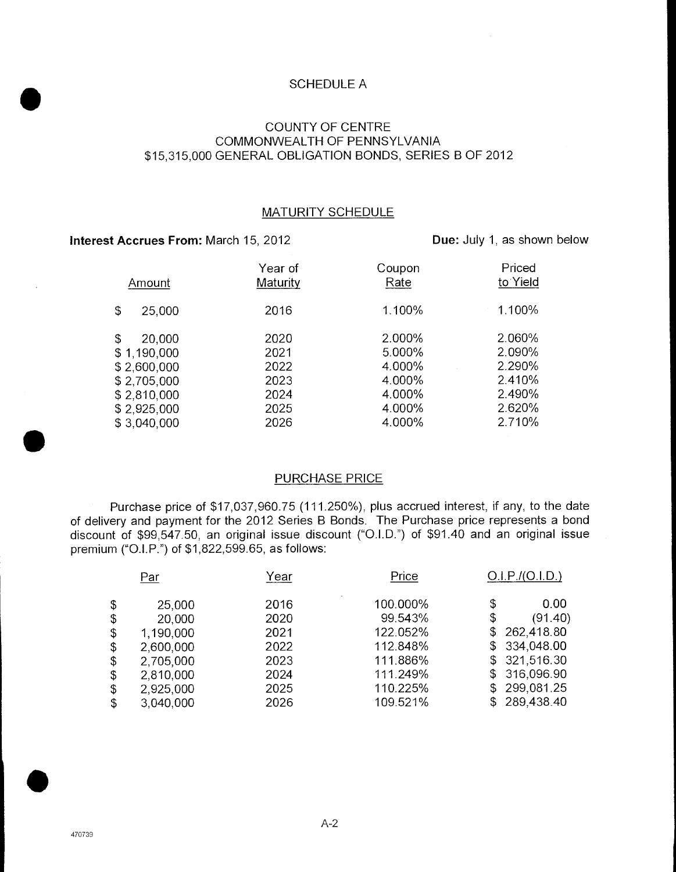## SCHEDULE A

# COUNTY OF CENTRE COMMONWEALTH OF PENNSYLVANIA \$15,315,000 GENERAL OBLIGATION BONDS, SERIES B OF 2012

#### MATURITY SCHEDULE

# **Interest Accrues From:** March 15, 2012

**Due:** July 1, as shown below

| Amount                                                                                                 | Year of<br>Maturity                                  | Coupon<br>Rate                                                     | Priced<br>to Yield                                                 |
|--------------------------------------------------------------------------------------------------------|------------------------------------------------------|--------------------------------------------------------------------|--------------------------------------------------------------------|
| \$<br>25,000                                                                                           | 2016                                                 | 1.100%                                                             | 1.100%                                                             |
| 20,000<br>\$<br>\$1,190,000<br>\$2,600,000<br>\$2,705,000<br>\$2,810,000<br>\$2,925,000<br>\$3,040,000 | 2020<br>2021<br>2022<br>2023<br>2024<br>2025<br>2026 | 2.000%<br>5.000%<br>4.000%<br>4.000%<br>4.000%<br>4.000%<br>4.000% | 2.060%<br>2.090%<br>2.290%<br>2.410%<br>2.490%<br>2.620%<br>2.710% |

## PURCHASE PRICE

Purchase price of \$17,037,960.75 (111.250%), plus accrued interest, if any, to the date of delivery and payment for the 2012 Series B Bonds. The Purchase price represents a bond discount of \$99,547.50, an original issue discount ("O.l.D.") of \$91.40 and an original issue premium ("O.l.P.") of \$1,822,599.65, as follows:

| Par             | Year | Price    | O.I.P./(O.I.D.) |
|-----------------|------|----------|-----------------|
| \$<br>25,000    | 2016 | 100.000% | \$<br>0.00      |
| \$<br>20,000    | 2020 | 99.543%  | \$<br>(91.40)   |
| \$<br>1,190,000 | 2021 | 122.052% | \$262,418.80    |
| \$<br>2,600,000 | 2022 | 112.848% | \$334,048.00    |
| \$<br>2,705,000 | 2023 | 111.886% | \$321,516.30    |
| \$<br>2,810,000 | 2024 | 111.249% | \$ 316,096.90   |
| \$<br>2,925,000 | 2025 | 110.225% | \$299,081.25    |
| \$<br>3,040,000 | 2026 | 109.521% | \$289,438.40    |

**S**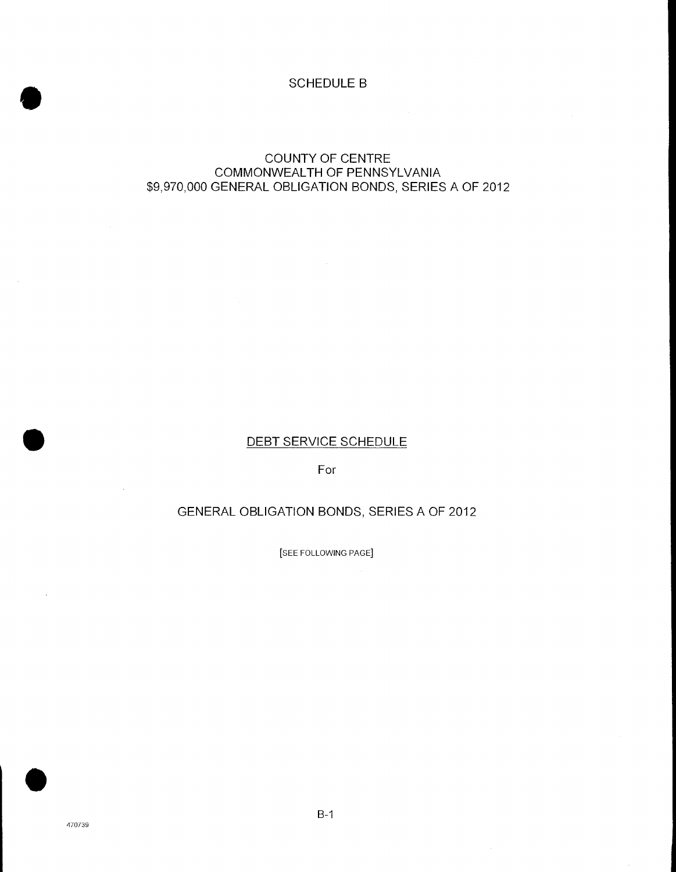## SCHEDULE B

# COUNTY OF CENTRE COMMONWEALTH OF PENNSYLVANIA \$9,970,000 GENERAL OBLIGATION BONDS, SERIES A OF 2012

# DEBT SERVICE SCHEDULE

For

# GENERAL OBLIGATION BONDS, SERIES A OF 2012

[SEE FOLLOWING PAGE]

 $\mathcal{A}$ 

**S** 

.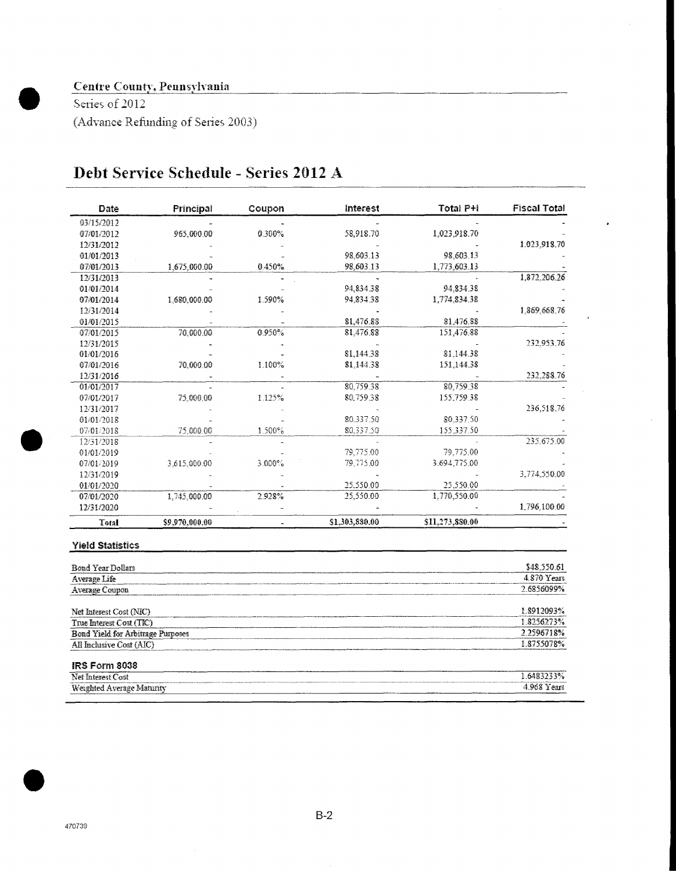# **Centre County, Pennsylvania**

Series of 2012 (Advance Refunding of Series 2003)

| <b>Fiscal Total</b> | Total P+I       | Interest       | Coupon | Principal      | Date       |
|---------------------|-----------------|----------------|--------|----------------|------------|
|                     |                 |                |        |                | 03/15/2012 |
|                     | 1,023,918.70    | 58.918.70      | 0.300% | 965,000.00     | 07/01/2012 |
| 1.023.913.70        |                 |                |        |                | 12/31/2012 |
|                     | 98,603.13       | 98.603.13      |        |                | 01/01/2013 |
|                     | 1,773,603.13    | 98.603.13      | 0.450% | 1.675.000.00   | 07/01/2013 |
| 1,872,206.26        |                 |                |        |                | 12/31/2013 |
|                     | 94,834.38       | 94,834.38      |        |                | 01/01/2014 |
|                     | 1.774.834.38    | 94.834.38      | 1.590% | 1.680,000.00   | 07/01/2014 |
| 1.869,668.76        |                 |                |        |                | 12/31/2014 |
|                     | 81.476.88       | 81.476.88      |        |                | 01/01/2015 |
|                     | 151,476.88      | 81,476.88      | 0.950% | 70.000.00      | 07/01/2015 |
| 232,953,76          |                 |                |        |                | 12/31/2015 |
|                     | 81.144.38       | 81,144.38      |        |                | 01/01/2016 |
|                     | 151,144.38      | 81,144.38      | 1.100% | 70.000.00      | 07/01/2016 |
| 232.288.76          |                 |                |        |                | 12/31/2016 |
|                     | 80,759.38       | 80.759.38      |        |                | 01/01/2017 |
|                     | 155,759.38      | 80.759.38      | 1.125% | 75,000.00      | 07/01/2017 |
| 236,518.76          |                 |                |        |                | 12/31/2017 |
|                     | 80.337.50       | 80.337.50      |        |                | 01/01/2018 |
|                     | 155.337.50      | 80.337.50      | 1.500% | 75,000.00      | 07/01/2018 |
| 235.675.00          |                 |                |        |                | 12/31/2018 |
|                     | 79.775.00       | 79.775.00      |        |                | 01/01/2019 |
|                     | 3.694.775.00    | 79.775.00      | 3.000% | 3.615.000.00   | 07/01/2019 |
| 3,774,550.00        |                 |                |        |                | 12/31/2019 |
|                     | 25.550.00       | 25,550.00      |        |                | 01/01/2020 |
|                     | 1.770,550.00    | 25,550.00      | 2.928% | 1,745,000.00   | 07/01/2020 |
| 1.796.100.00        |                 |                |        |                | 12/31/2020 |
|                     | \$11.273,880.00 | \$1,303,880.00 |        | \$9,970,000,00 | Total      |

# Debt Service Schedule - Series 2012 A

#### Yield Statistics

| Bond Year Dollars                 | \$48,550.61        |
|-----------------------------------|--------------------|
| Average Life                      | 4.870 Years        |
| Average Coupon                    | 2.6856099%         |
| Net Interest Cost (NIC)           | 1.8912093%         |
| True Interest Cost (TIC)          | 1.8256273%         |
| Bond Yield for Arbitrage Purposes | 2.2596718%         |
| All Inclusive Cost (AIC)          | 18755078%          |
| <b>IRS Form 8038</b>              |                    |
|                                   | $X = 2.8833333365$ |

| $-7$<br>-<br>-051<br>Net                              | 1.64832<br>13%                        |
|-------------------------------------------------------|---------------------------------------|
| Weighted.<br>i Average Matunty<br>______<br>_________ | $4.968$ V<br>теат<br>_____<br>_______ |

**fl**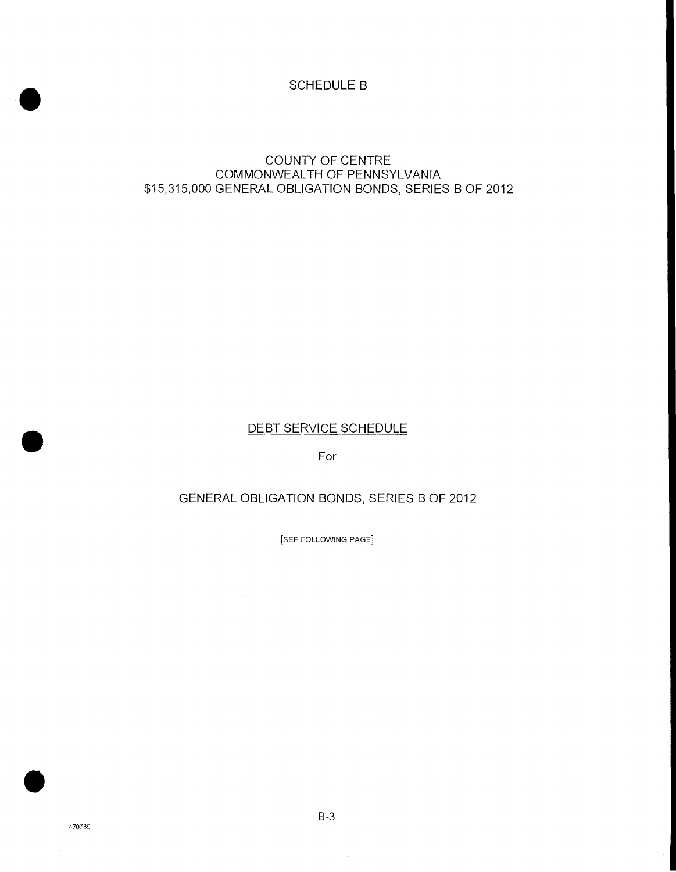## SCHEDULE B

# COUNTY OF CENTRE COMMONWEALTH OF PENNSYLVANIA \$15,315,000 GENERAL OBLIGATION BONDS, SERIES B OF 2012

# **DEBT SERVICE SCHEDULE**

For

# GENERAL OBLIGATION BONDS, SERIES B OF 2012

[SEE FOLLOWING PAGE]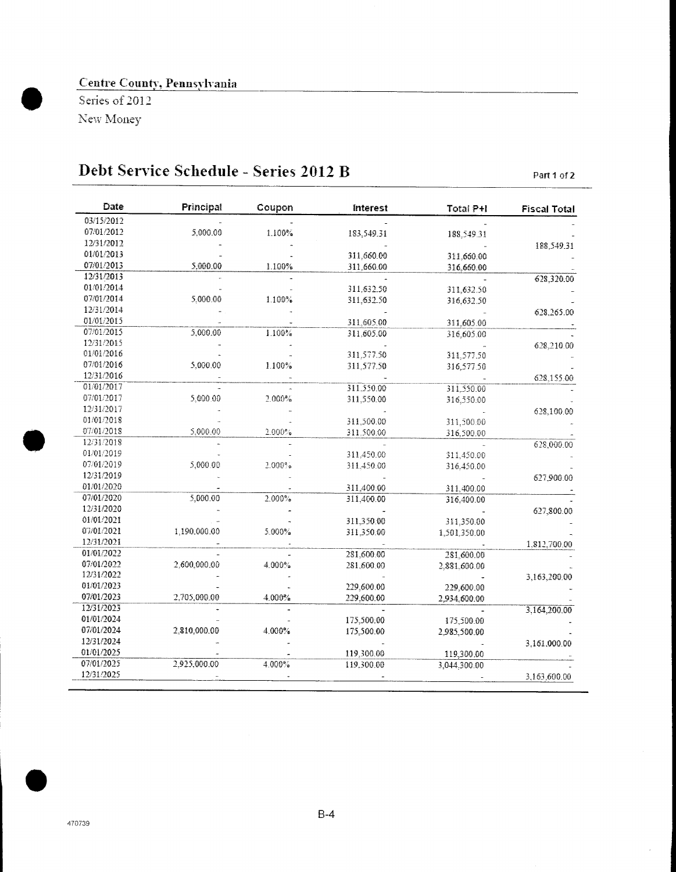# Centre County. Pennsylvania

Series of 2012 New Money

# **Debt Service Schedule - Series 2012 B Part 1 of 2**

| Date       | Principal    | Coupon    | Interest                 | Total P+I    | <b>Fiscal Total</b> |
|------------|--------------|-----------|--------------------------|--------------|---------------------|
| 03/15/2012 |              |           |                          |              |                     |
| 07/01/2012 | 5,000.00     | 1.100%    | 183,549.31               | 188,549.31   |                     |
| 12/31/2012 |              |           |                          |              | 188,549.31          |
| 01/01/2013 |              |           | 311,660.00               | 311.660.00   |                     |
| 07/01/2013 | 5,000.00     | 1.100%    | 311,660.00               | 316,660.00   |                     |
| 12/31/2013 |              |           |                          |              | 628,320.00          |
| 01/01/2014 |              |           | 311.632.50               | 311,632.50   |                     |
| 07/01/2014 | 5.000.00     | 1.100%    | 311,632.50               | 316,632.50   |                     |
| 12/31/2014 |              |           |                          |              | 628,265.00          |
| 01/01/2015 |              |           | 311,605.00               | 311,605.00   |                     |
| 07/01/2015 | 5,000.00     | 1.100%    | 311,605.00               | 316,605.00   |                     |
| 12/31/2015 |              |           |                          |              | 628,210.00          |
| 01/01/2016 |              |           | 311,577.50               | 311.577.50   |                     |
| 07/01/2016 | 5,000.00     | $1.100\%$ | 311,577.50               | 316,577.50   |                     |
| 12/31/2016 |              |           |                          |              | 628,155.00          |
| 01/01/2017 |              |           | 311.550.00               | 311.550.00   |                     |
| 07/01/2017 | 5,000.00     | 2.000%    | 311,550.00               | 316,550.00   |                     |
| 12/31/2017 |              |           |                          |              | 628,100.00          |
| 01/01/2018 |              |           | 311,500.00               | 311,500.00   |                     |
| 07/01/2018 | 5,000.00     | 2.000%    | 311.500.00               | 316,500.00   |                     |
| 12/31/2018 |              |           |                          |              | 628,000.00          |
| 01/01/2019 |              |           | 311,450.00               | 311,450.00   |                     |
| 07/01/2019 | 5,000.00     | $2.000$ % | 311,450.00               | 316,450.00   |                     |
| 12/31/2019 |              |           |                          |              | 627.900.00          |
| 01/01/2020 |              |           | 311,400.00               | 311.400.00   |                     |
| 07/01/2020 | 5,000.00     | 2.000%    | 311,400.00               | 316,400.00   |                     |
| 12/31/2020 |              |           |                          |              | 627,800.00          |
| 01/01/2021 |              |           | 311,350.00               | 311,350.00   |                     |
| 07/01/2021 | 1,190,000.00 | 5.000%    | 311,350.00               | 1,501,350.00 |                     |
| 12/31/2021 |              |           |                          |              |                     |
| 01/01/2022 |              |           | 281,600.00               | 281,600.00   | 1,812,700.00        |
| 07/01/2022 | 2,600,000.00 | 4.000%    | 281,600.00               | 2,881,600.00 |                     |
| 12/31/2022 |              |           |                          |              | 3,163,200.00        |
| 01/01/2023 |              |           | 229,600.00               | 229,600.00   |                     |
| 07/01/2023 | 2,705,000.00 | 4.000%    | 229,600.00               | 2,934,600.00 |                     |
| 12/31/2023 |              |           |                          |              | 3,164,200.00        |
| 01/01/2024 |              |           | 175,500.00               | 175,500.00   |                     |
| 07/01/2024 | 2,810,000.00 | 4.000%    | 175,500.00               |              |                     |
| 12/31/2024 |              |           |                          | 2,985,500.00 |                     |
| 01/01/2025 |              |           |                          |              | 3,161,000.00        |
| 07/01/2025 | 2,925,000.00 | 4.000%    | 119,300.00<br>119,300.00 | 119,300.00   |                     |
| 12/31/2025 |              |           |                          | 3,044,300.00 |                     |
|            |              |           |                          |              | 3,163,600.00        |

 $\overline{a}$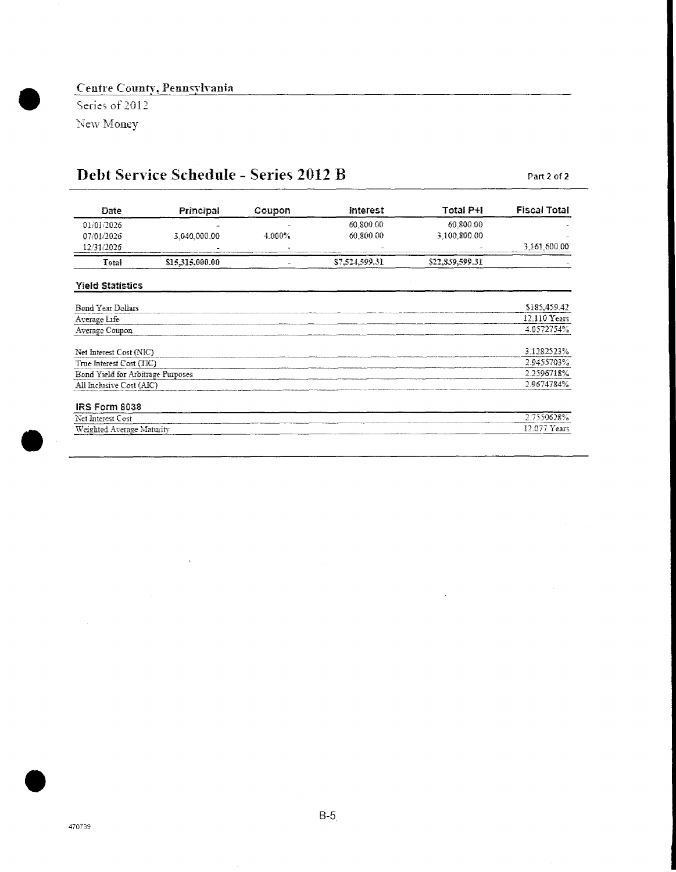# **Centre County, Pennsylvania**

Series of 2012 New Money

# *Debt Service Schedule* - *Series 2012 B Part 2of2*

 $\bar{z}$ 

| Date                              | Principal       | Coupon | <b>Interest</b> | Total P+I       | <b>Fiscal Total</b> |
|-----------------------------------|-----------------|--------|-----------------|-----------------|---------------------|
| 01/01/2026                        |                 |        | 60.800.00       | 60.800.00       |                     |
| 07/01/2026                        | 3,040.000.00    | 4.000% | 60.800.00       | 3.100.800.00    |                     |
| 12/31/2026                        |                 |        |                 |                 | 3,161,600.00        |
| Total                             | \$15,315,000.00 | u.     | \$7,524,599.31  | \$22,839,599.31 |                     |
| <b>Yield Statistics</b>           |                 |        |                 |                 |                     |
| <b>Bond Year Dollars</b>          |                 |        |                 |                 | \$185,459.42        |
| Average Life                      |                 |        |                 |                 | 12.110 Years        |
| Average Coupon                    |                 |        |                 |                 | 4.0572754%          |
| Net Interest Cost (NIC)           |                 |        |                 |                 | 3.1282523%          |
| True Interest Cost (TIC)          |                 |        |                 |                 | 2.9455703%          |
| Bond Yield for Arbitrage Purposes |                 |        |                 |                 | 2.2596718%          |
| All Inclusive Cost (AIC)          |                 |        |                 |                 | 2.9674784%          |
| IRS Form 8038                     |                 |        |                 |                 |                     |
| Net Interest Cost                 |                 |        |                 |                 | 2.7550628%          |
| Weighted Average Maturity         |                 |        |                 |                 | 12.077 Years        |

17J

 $\bar{z}$ 

 $\sim$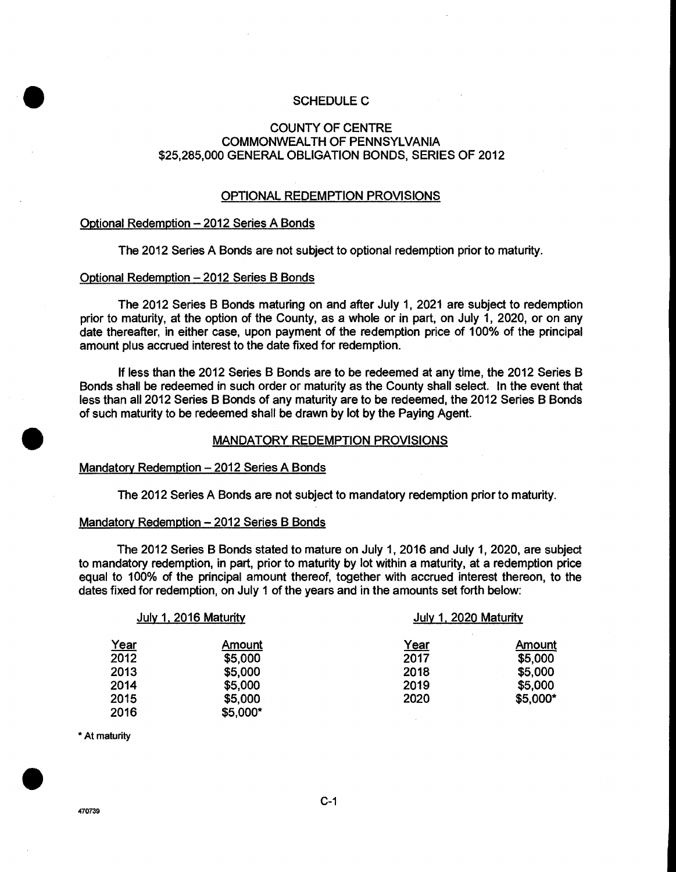#### SCHEDULE C

#### COUNTY OF CENTRE COMMONWEALTH OF PENNSYLVANIA \$25,285,000 GENERAL OBLIGATION BONDS, SERIES OF 2012

#### OPTIONAL REDEMPTION PROVISIONS

#### Optional Redemption —2012 Series A Bonds

The 2012 Series A Bonds are not subject to optional redemption prior to maturity.

#### Optional Redemption —2012 Series B Bonds

The 2012 Series B Bonds maturing on and after July 1, 2021 are subject to redemption prior to maturity, at the option of the County, as a whole or in part, on July 1, 2020, or on any date thereafter, in either case, upon payment of the redemption price of 100% of the principal amount plus accrued interest to the date fixed for redemption.

If less than the 2012 Series B Bonds are to be redeemed at any time, the 2012 Series B Bonds shall be redeemed in such order or maturity as the County shall select. In the event that less than all 2012 Series B Bonds of any maturity are to be redeemed, the 2012 Series B Bonds of such maturity to be redeemed shall be drawn by lot by the Paying Agent.

#### MANDATORY REDEMPTION PROVISIONS

#### Mandatory Redemption —2012 Series A Bonds

The 2012 Series A Bonds are not subject to mandatory redemption prior to maturity.

#### Mandatory Redemption - 2012 Series B Bonds

The 2012 Series B Bonds stated to mature on July 1, 2016 and July 1, 2020, are subject to mandatory redemption, in part, prior to maturity by lot within a maturity, at a redemption price equal to 100% of the principal amount thereof, together with accrued interest thereon, to the dates fixed for redemption, on July 1 of the years and in the amounts set forth below:

| July 1, 2016 Maturity |          | July 1, 2020 Maturity |               |  |
|-----------------------|----------|-----------------------|---------------|--|
| Year                  | Amount   | Year                  | <b>Amount</b> |  |
| 2012                  | \$5,000  | 2017                  | \$5,000       |  |
| 2013                  | \$5,000  | 2018                  | \$5,000       |  |
| 2014                  | \$5,000  | 2019                  | \$5,000       |  |
| 2015                  | \$5,000  | 2020                  | \$5,000*      |  |
| 2016                  | \$5,000* |                       |               |  |

\* At maturity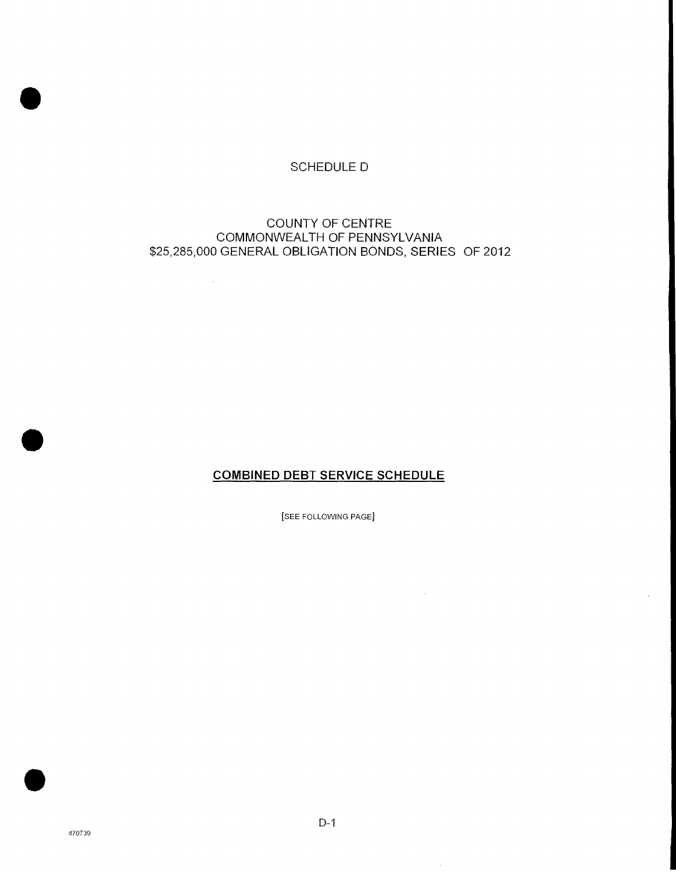# SCHEDULE D

# COUNTY OF CENTRE COMMONWEALTH OF PENNSYLVANIA \$25,285,000 GENERAL OBLIGATION BONDS, SERIES OF 2012

 $\sim$ 

# **COMBINED DEBT SERVICE SCHEDULE**

[SEE FOLLOWING PAGE]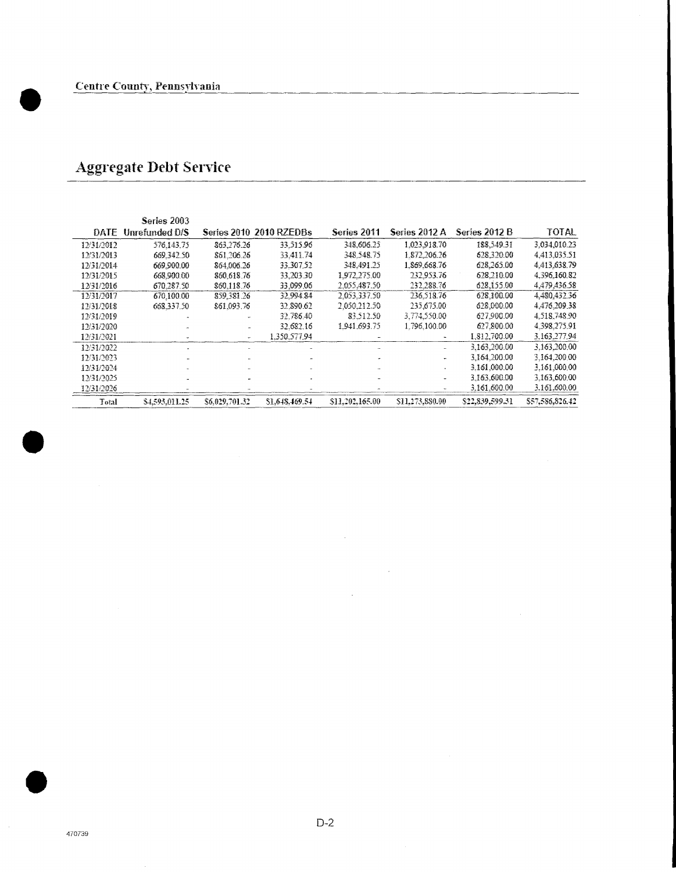$\bullet$ 

 $\bullet$ 

# Aggregate Debt Service

|            | Series 2003    |                |                         |                 |                 |                 |                 |
|------------|----------------|----------------|-------------------------|-----------------|-----------------|-----------------|-----------------|
| DATE       | Unrefunded D/S |                | Series 2010 2010 RZEDBs | Series 2011     | Series 2012 A   | Series 2012 B   | <b>TOTAL</b>    |
| 12/31/2012 | 576.143.75     | 863.276.26     | 33,515.96               | 348.606.25      | 1.023.918.70    | 188,549.31      | 3.034.010.23    |
| 12/31/2013 | 669.342.50     | 861.206.26     | 33.411.74               | 348.548.75      | 1.872.206.26    | 628.320.00      | 4.413.035.51    |
| 12/31/2014 | 669,900.00     | 864.006.26     | 33.307.52               | 348.491.25      | 1.869.668.76    | 628.265.00      | 4,413,638.79    |
| 12/31/2015 | 668.900.00     | 860.613.76     | 33.203.30               | 1.972.275.00    | 232.953.76      | 628.210.00      | 4.396.160.82    |
| 12/31/2016 | 670.287.50     | \$60.118.76    | 33,099.06               | 2.055,487.50    | 232.288.76      | 628,155.00      | 4,479,436,58    |
| 12/31/2017 | 670.100.00     | 859.381.26     | 32.994.84               | 2.053.337.50    | 236.518.76      | 628,100.00      | 4.480.432.36    |
| 12/31/2018 | 668.337.50     | 861.093.76     | 32.890.62               | 2.050.212.50    | 235.675.00      | 628,000.00      | 4.476.209.38    |
| 12/31/2019 |                |                | 32.786.40               | 83.512.50       | 3,774,550.00    | 627,900.00      | 4.518.748.90    |
| 12/31/2020 |                |                | 32.682.16               | 1.941.693.75    | 1.796.100.00    | 627.800.00      | 4.398,275.91    |
| 12/31/2021 |                |                | 1.350.577.94            |                 |                 | 1.812,700.00    | 3.163.277.94    |
| 12/31/2022 |                |                |                         |                 |                 | 3.163.200.00    | 3.163.200.00    |
| 12/31/2023 |                |                |                         |                 |                 | 3,164,200.00    | 3.164,200.00    |
| 12/31/2024 |                |                |                         |                 |                 | 3.161.000.00    | 3.161,000.00    |
| 12/31/2025 |                |                |                         |                 |                 | 3.163.600.00    | 3.163,600.00    |
| 12/31/2026 |                |                |                         |                 |                 | 3.161.600.00    | 3.161.600.00    |
| Total      | \$4.593.011.25 | \$6,029,701.32 | \$1,648,469,54          | \$11.202.165.00 | SH, 273, 880.00 | \$22,839,599.31 | \$57,586,826,42 |

 $\bar{z}$ 

 $\mathcal{A}^{\mathcal{A}}$ 

 $\sim$